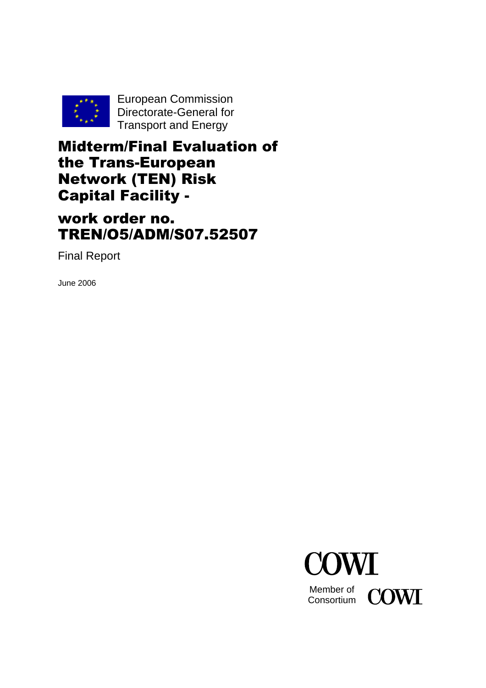

European Commission Directorate-General for Transport and Energy

Midterm/Final Evaluation of the Trans-European Network (TEN) Risk Capital Facility -

work order no. TREN/O5/ADM/S07.52507

Final Report

June 2006

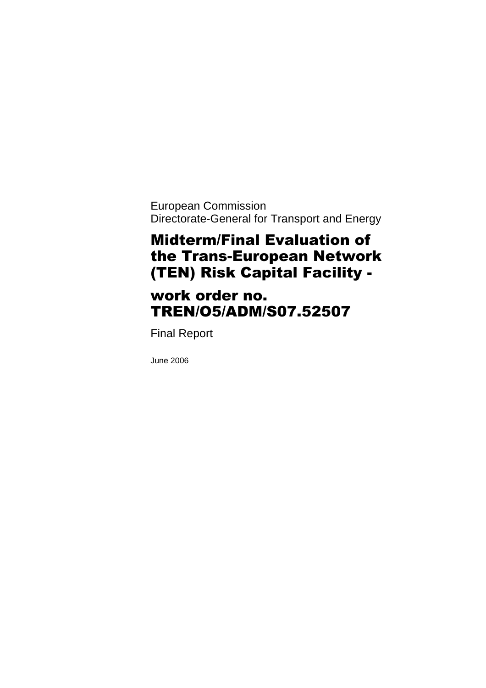European Commission Directorate-General for Transport and Energy

# Midterm/Final Evaluation of the Trans-European Network (TEN) Risk Capital Facility -

# work order no. TREN/O5/ADM/S07.52507

Final Report

June 2006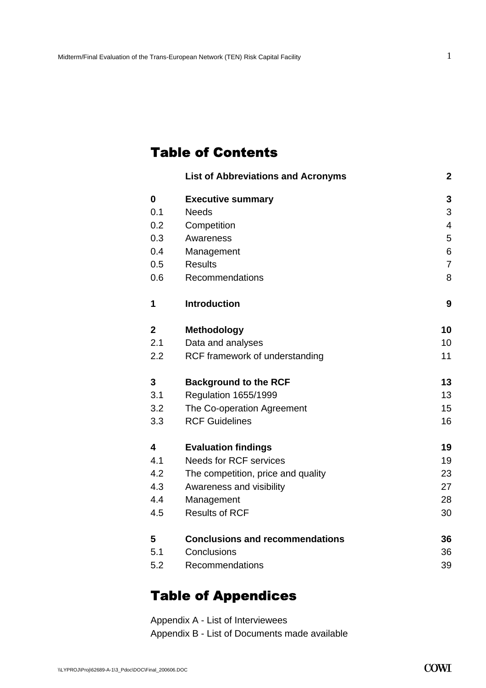# Table of Contents

|     | <b>List of Abbreviations and Acronyms</b> | $\mathbf 2$    |
|-----|-------------------------------------------|----------------|
| 0   | <b>Executive summary</b>                  | 3              |
| 0.1 | <b>Needs</b>                              | 3              |
| 0.2 | Competition                               | 4              |
| 0.3 | Awareness                                 | 5              |
| 0.4 | Management                                | 6              |
| 0.5 | <b>Results</b>                            | $\overline{7}$ |
| 0.6 | Recommendations                           | 8              |
| 1   | <b>Introduction</b>                       | 9              |
| 2   | <b>Methodology</b>                        | 10             |
| 2.1 | Data and analyses                         | 10             |
| 2.2 | RCF framework of understanding            | 11             |
| 3   | <b>Background to the RCF</b>              | 13             |
| 3.1 | Regulation 1655/1999                      | 13             |
| 3.2 | The Co-operation Agreement                | 15             |
| 3.3 | <b>RCF Guidelines</b>                     | 16             |
| 4   | <b>Evaluation findings</b>                | 19             |
| 4.1 | <b>Needs for RCF services</b>             | 19             |
| 4.2 | The competition, price and quality        | 23             |
| 4.3 | Awareness and visibility                  | 27             |
| 4.4 | Management                                | 28             |
| 4.5 | <b>Results of RCF</b>                     | 30             |
| 5   | <b>Conclusions and recommendations</b>    | 36             |
| 5.1 | Conclusions                               | 36             |
| 5.2 | Recommendations                           | 39             |
|     |                                           |                |

# Table of Appendices

Appendix A - List of Interviewees Appendix B - List of Documents made available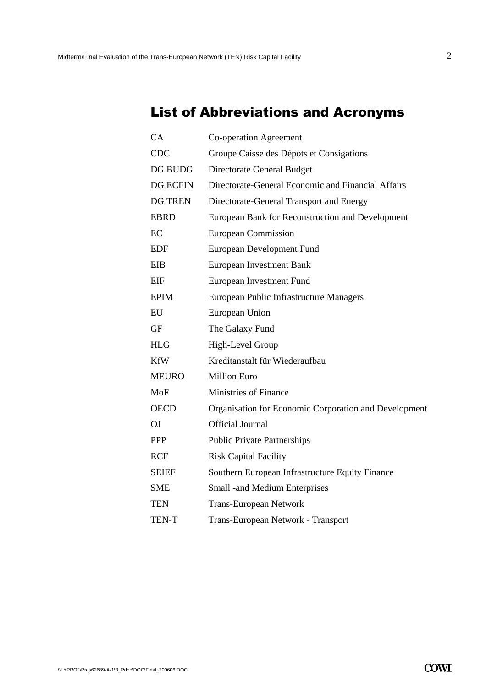# List of Abbreviations and Acronyms

| CA              | Co-operation Agreement                                |
|-----------------|-------------------------------------------------------|
| <b>CDC</b>      | Groupe Caisse des Dépots et Consigations              |
| DG BUDG         | Directorate General Budget                            |
| <b>DG ECFIN</b> | Directorate-General Economic and Financial Affairs    |
| <b>DG TREN</b>  | Directorate-General Transport and Energy              |
| <b>EBRD</b>     | European Bank for Reconstruction and Development      |
| EC              | <b>European Commission</b>                            |
| <b>EDF</b>      | <b>European Development Fund</b>                      |
| <b>EIB</b>      | <b>European Investment Bank</b>                       |
| <b>EIF</b>      | European Investment Fund                              |
| <b>EPIM</b>     | European Public Infrastructure Managers               |
| EU              | European Union                                        |
| <b>GF</b>       | The Galaxy Fund                                       |
| <b>HLG</b>      | High-Level Group                                      |
| <b>KfW</b>      | Kreditanstalt für Wiederaufbau                        |
| <b>MEURO</b>    | <b>Million Euro</b>                                   |
| <b>MoF</b>      | <b>Ministries of Finance</b>                          |
| <b>OECD</b>     | Organisation for Economic Corporation and Development |
| OJ              | <b>Official Journal</b>                               |
| <b>PPP</b>      | <b>Public Private Partnerships</b>                    |
| <b>RCF</b>      | <b>Risk Capital Facility</b>                          |
| <b>SEIEF</b>    | Southern European Infrastructure Equity Finance       |
| <b>SME</b>      | Small -and Medium Enterprises                         |
| <b>TEN</b>      | <b>Trans-European Network</b>                         |
| TEN-T           | Trans-European Network - Transport                    |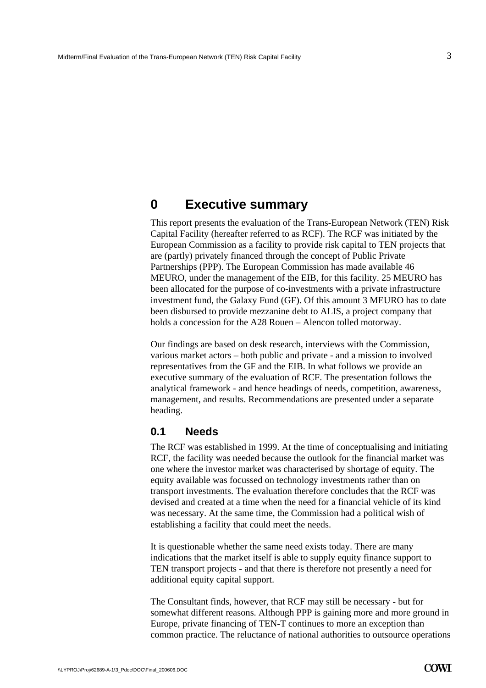3

# <span id="page-4-0"></span>**0 Executive summary**

This report presents the evaluation of the Trans-European Network (TEN) Risk Capital Facility (hereafter referred to as RCF). The RCF was initiated by the European Commission as a facility to provide risk capital to TEN projects that are (partly) privately financed through the concept of Public Private Partnerships (PPP). The European Commission has made available 46 MEURO, under the management of the EIB, for this facility. 25 MEURO has been allocated for the purpose of co-investments with a private infrastructure investment fund, the Galaxy Fund (GF). Of this amount 3 MEURO has to date been disbursed to provide mezzanine debt to ALIS, a project company that holds a concession for the A28 Rouen – Alencon tolled motorway.

Our findings are based on desk research, interviews with the Commission, various market actors – both public and private - and a mission to involved representatives from the GF and the EIB. In what follows we provide an executive summary of the evaluation of RCF. The presentation follows the analytical framework - and hence headings of needs, competition, awareness, management, and results. Recommendations are presented under a separate heading.

### <span id="page-4-1"></span>**0.1 Needs**

The RCF was established in 1999. At the time of conceptualising and initiating RCF, the facility was needed because the outlook for the financial market was one where the investor market was characterised by shortage of equity. The equity available was focussed on technology investments rather than on transport investments. The evaluation therefore concludes that the RCF was devised and created at a time when the need for a financial vehicle of its kind was necessary. At the same time, the Commission had a political wish of establishing a facility that could meet the needs.

It is questionable whether the same need exists today. There are many indications that the market itself is able to supply equity finance support to TEN transport projects - and that there is therefore not presently a need for additional equity capital support.

The Consultant finds, however, that RCF may still be necessary - but for somewhat different reasons. Although PPP is gaining more and more ground in Europe, private financing of TEN-T continues to more an exception than common practice. The reluctance of national authorities to outsource operations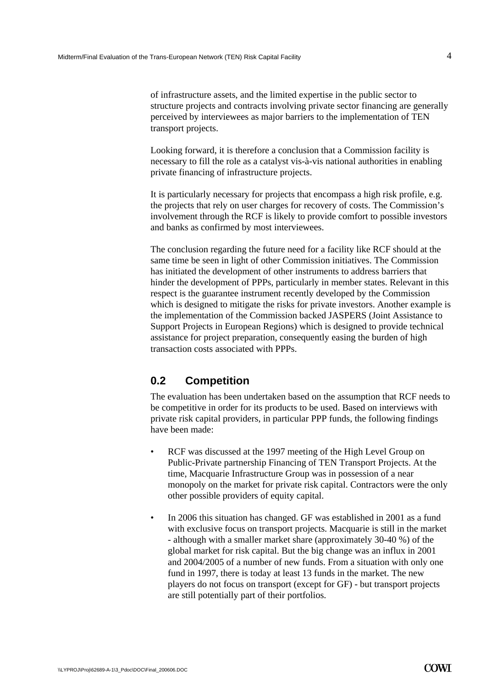of infrastructure assets, and the limited expertise in the public sector to structure projects and contracts involving private sector financing are generally perceived by interviewees as major barriers to the implementation of TEN transport projects.

Looking forward, it is therefore a conclusion that a Commission facility is necessary to fill the role as a catalyst vis-à-vis national authorities in enabling private financing of infrastructure projects.

It is particularly necessary for projects that encompass a high risk profile, e.g. the projects that rely on user charges for recovery of costs. The Commission's involvement through the RCF is likely to provide comfort to possible investors and banks as confirmed by most interviewees.

The conclusion regarding the future need for a facility like RCF should at the same time be seen in light of other Commission initiatives. The Commission has initiated the development of other instruments to address barriers that hinder the development of PPPs, particularly in member states. Relevant in this respect is the guarantee instrument recently developed by the Commission which is designed to mitigate the risks for private investors. Another example is the implementation of the Commission backed JASPERS (Joint Assistance to Support Projects in European Regions) which is designed to provide technical assistance for project preparation, consequently easing the burden of high transaction costs associated with PPPs.

## <span id="page-5-0"></span>**0.2 Competition**

The evaluation has been undertaken based on the assumption that RCF needs to be competitive in order for its products to be used. Based on interviews with private risk capital providers, in particular PPP funds, the following findings have been made:

- RCF was discussed at the 1997 meeting of the High Level Group on Public-Private partnership Financing of TEN Transport Projects. At the time, Macquarie Infrastructure Group was in possession of a near monopoly on the market for private risk capital. Contractors were the only other possible providers of equity capital.
- In 2006 this situation has changed. GF was established in 2001 as a fund with exclusive focus on transport projects. Macquarie is still in the market - although with a smaller market share (approximately 30-40 %) of the global market for risk capital. But the big change was an influx in 2001 and 2004/2005 of a number of new funds. From a situation with only one fund in 1997, there is today at least 13 funds in the market. The new players do not focus on transport (except for GF) - but transport projects are still potentially part of their portfolios.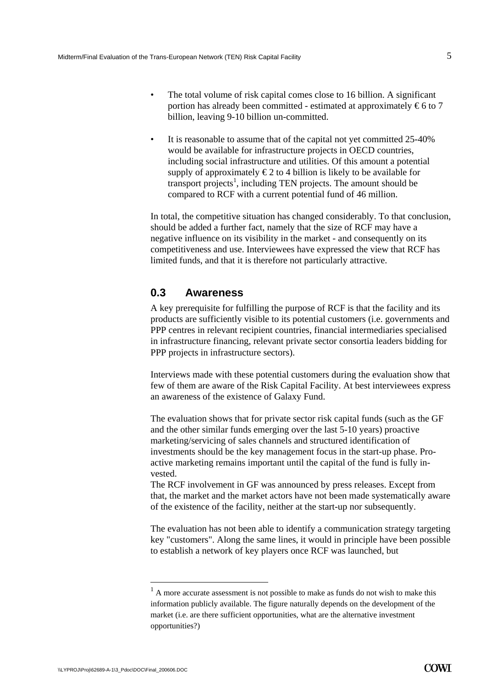- The total volume of risk capital comes close to 16 billion. A significant portion has already been committed - estimated at approximately  $\epsilon$ 6 to 7 billion, leaving 9-10 billion un-committed.
- It is reasonable to assume that of the capital not yet committed 25-40% would be available for infrastructure projects in OECD countries, including social infrastructure and utilities. Of this amount a potential supply of approximately  $\epsilon$ 2 to 4 billion is likely to be available for transport projects<sup>1</sup>, including TEN projects. The amount should be compared to RCF with a current potential fund of 46 million.

In total, the competitive situation has changed considerably. To that conclusion, should be added a further fact, namely that the size of RCF may have a negative influence on its visibility in the market - and consequently on its competitiveness and use. Interviewees have expressed the view that RCF has limited funds, and that it is therefore not particularly attractive.

### <span id="page-6-0"></span>**0.3 Awareness**

A key prerequisite for fulfilling the purpose of RCF is that the facility and its products are sufficiently visible to its potential customers (i.e. governments and PPP centres in relevant recipient countries, financial intermediaries specialised in infrastructure financing, relevant private sector consortia leaders bidding for PPP projects in infrastructure sectors).

Interviews made with these potential customers during the evaluation show that few of them are aware of the Risk Capital Facility. At best interviewees express an awareness of the existence of Galaxy Fund.

The evaluation shows that for private sector risk capital funds (such as the GF and the other similar funds emerging over the last 5-10 years) proactive marketing/servicing of sales channels and structured identification of investments should be the key management focus in the start-up phase. Proactive marketing remains important until the capital of the fund is fully invested.

The RCF involvement in GF was announced by press releases. Except from that, the market and the market actors have not been made systematically aware of the existence of the facility, neither at the start-up nor subsequently.

The evaluation has not been able to identify a communication strategy targeting key "customers". Along the same lines, it would in principle have been possible to establish a network of key players once RCF was launched, but

 $<sup>1</sup>$  A more accurate assessment is not possible to make as funds do not wish to make this</sup> information publicly available. The figure naturally depends on the development of the market (i.e. are there sufficient opportunities, what are the alternative investment opportunities?)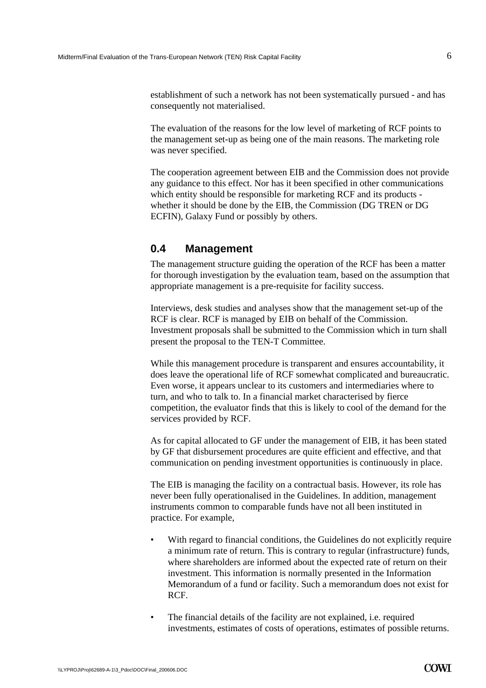establishment of such a network has not been systematically pursued - and has consequently not materialised.

The evaluation of the reasons for the low level of marketing of RCF points to the management set-up as being one of the main reasons. The marketing role was never specified.

The cooperation agreement between EIB and the Commission does not provide any guidance to this effect. Nor has it been specified in other communications which entity should be responsible for marketing RCF and its products whether it should be done by the EIB, the Commission (DG TREN or DG ECFIN), Galaxy Fund or possibly by others.

### <span id="page-7-0"></span>**0.4 Management**

The management structure guiding the operation of the RCF has been a matter for thorough investigation by the evaluation team, based on the assumption that appropriate management is a pre-requisite for facility success.

Interviews, desk studies and analyses show that the management set-up of the RCF is clear. RCF is managed by EIB on behalf of the Commission. Investment proposals shall be submitted to the Commission which in turn shall present the proposal to the TEN-T Committee.

While this management procedure is transparent and ensures accountability, it does leave the operational life of RCF somewhat complicated and bureaucratic. Even worse, it appears unclear to its customers and intermediaries where to turn, and who to talk to. In a financial market characterised by fierce competition, the evaluator finds that this is likely to cool of the demand for the services provided by RCF.

As for capital allocated to GF under the management of EIB, it has been stated by GF that disbursement procedures are quite efficient and effective, and that communication on pending investment opportunities is continuously in place.

The EIB is managing the facility on a contractual basis. However, its role has never been fully operationalised in the Guidelines. In addition, management instruments common to comparable funds have not all been instituted in practice. For example,

- With regard to financial conditions, the Guidelines do not explicitly require a minimum rate of return. This is contrary to regular (infrastructure) funds, where shareholders are informed about the expected rate of return on their investment. This information is normally presented in the Information Memorandum of a fund or facility. Such a memorandum does not exist for RCF.
- The financial details of the facility are not explained, i.e. required investments, estimates of costs of operations, estimates of possible returns.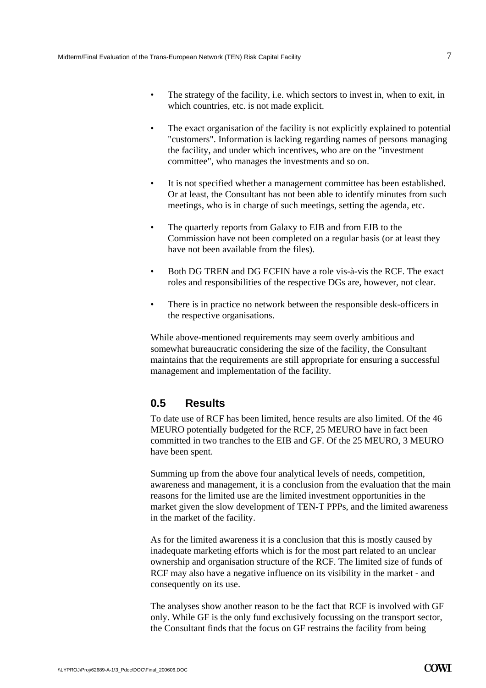- The strategy of the facility, i.e. which sectors to invest in, when to exit, in which countries, etc. is not made explicit.
- The exact organisation of the facility is not explicitly explained to potential "customers". Information is lacking regarding names of persons managing the facility, and under which incentives, who are on the "investment committee", who manages the investments and so on.
- It is not specified whether a management committee has been established. Or at least, the Consultant has not been able to identify minutes from such meetings, who is in charge of such meetings, setting the agenda, etc.
- The quarterly reports from Galaxy to EIB and from EIB to the Commission have not been completed on a regular basis (or at least they have not been available from the files).
- Both DG TREN and DG ECFIN have a role vis-à-vis the RCF. The exact roles and responsibilities of the respective DGs are, however, not clear.
- There is in practice no network between the responsible desk-officers in the respective organisations.

While above-mentioned requirements may seem overly ambitious and somewhat bureaucratic considering the size of the facility, the Consultant maintains that the requirements are still appropriate for ensuring a successful management and implementation of the facility.

## <span id="page-8-0"></span>**0.5 Results**

To date use of RCF has been limited, hence results are also limited. Of the 46 MEURO potentially budgeted for the RCF, 25 MEURO have in fact been committed in two tranches to the EIB and GF. Of the 25 MEURO, 3 MEURO have been spent.

Summing up from the above four analytical levels of needs, competition, awareness and management, it is a conclusion from the evaluation that the main reasons for the limited use are the limited investment opportunities in the market given the slow development of TEN-T PPPs, and the limited awareness in the market of the facility.

As for the limited awareness it is a conclusion that this is mostly caused by inadequate marketing efforts which is for the most part related to an unclear ownership and organisation structure of the RCF. The limited size of funds of RCF may also have a negative influence on its visibility in the market - and consequently on its use.

The analyses show another reason to be the fact that RCF is involved with GF only. While GF is the only fund exclusively focussing on the transport sector, the Consultant finds that the focus on GF restrains the facility from being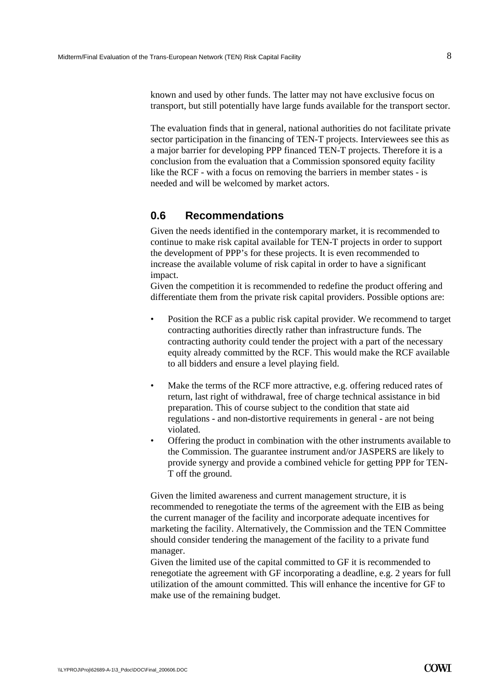known and used by other funds. The latter may not have exclusive focus on transport, but still potentially have large funds available for the transport sector.

The evaluation finds that in general, national authorities do not facilitate private sector participation in the financing of TEN-T projects. Interviewees see this as a major barrier for developing PPP financed TEN-T projects. Therefore it is a conclusion from the evaluation that a Commission sponsored equity facility like the RCF - with a focus on removing the barriers in member states - is needed and will be welcomed by market actors.

## <span id="page-9-0"></span>**0.6 Recommendations**

Given the needs identified in the contemporary market, it is recommended to continue to make risk capital available for TEN-T projects in order to support the development of PPP's for these projects. It is even recommended to increase the available volume of risk capital in order to have a significant impact.

Given the competition it is recommended to redefine the product offering and differentiate them from the private risk capital providers. Possible options are:

- Position the RCF as a public risk capital provider. We recommend to target contracting authorities directly rather than infrastructure funds. The contracting authority could tender the project with a part of the necessary equity already committed by the RCF. This would make the RCF available to all bidders and ensure a level playing field.
- Make the terms of the RCF more attractive, e.g. offering reduced rates of return, last right of withdrawal, free of charge technical assistance in bid preparation. This of course subject to the condition that state aid regulations - and non-distortive requirements in general - are not being violated.
- Offering the product in combination with the other instruments available to the Commission. The guarantee instrument and/or JASPERS are likely to provide synergy and provide a combined vehicle for getting PPP for TEN-T off the ground.

Given the limited awareness and current management structure, it is recommended to renegotiate the terms of the agreement with the EIB as being the current manager of the facility and incorporate adequate incentives for marketing the facility. Alternatively, the Commission and the TEN Committee should consider tendering the management of the facility to a private fund manager.

Given the limited use of the capital committed to GF it is recommended to renegotiate the agreement with GF incorporating a deadline, e.g. 2 years for full utilization of the amount committed. This will enhance the incentive for GF to make use of the remaining budget.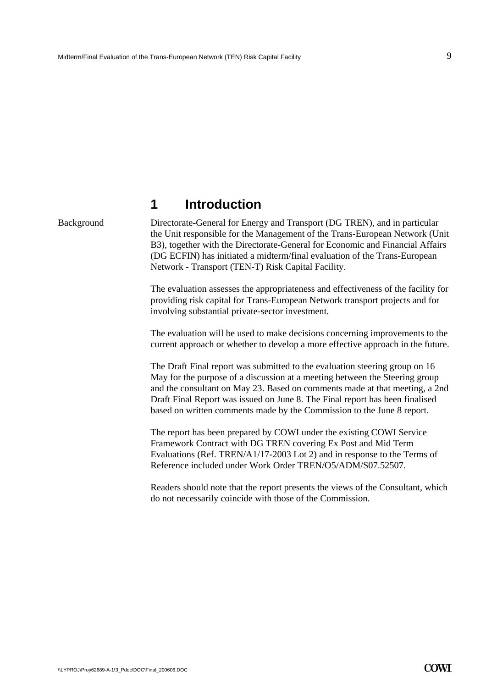# **1 Introduction**

<span id="page-10-0"></span>Background Directorate-General for Energy and Transport (DG TREN), and in particular the Unit responsible for the Management of the Trans-European Network (Unit B3), together with the Directorate-General for Economic and Financial Affairs (DG ECFIN) has initiated a midterm/final evaluation of the Trans-European Network - Transport (TEN-T) Risk Capital Facility.

> The evaluation assesses the appropriateness and effectiveness of the facility for providing risk capital for Trans-European Network transport projects and for involving substantial private-sector investment.

> The evaluation will be used to make decisions concerning improvements to the current approach or whether to develop a more effective approach in the future.

> The Draft Final report was submitted to the evaluation steering group on 16 May for the purpose of a discussion at a meeting between the Steering group and the consultant on May 23. Based on comments made at that meeting, a 2nd Draft Final Report was issued on June 8. The Final report has been finalised based on written comments made by the Commission to the June 8 report.

The report has been prepared by COWI under the existing COWI Service Framework Contract with DG TREN covering Ex Post and Mid Term Evaluations (Ref. TREN/A1/17-2003 Lot 2) and in response to the Terms of Reference included under Work Order TREN/O5/ADM/S07.52507.

Readers should note that the report presents the views of the Consultant, which do not necessarily coincide with those of the Commission.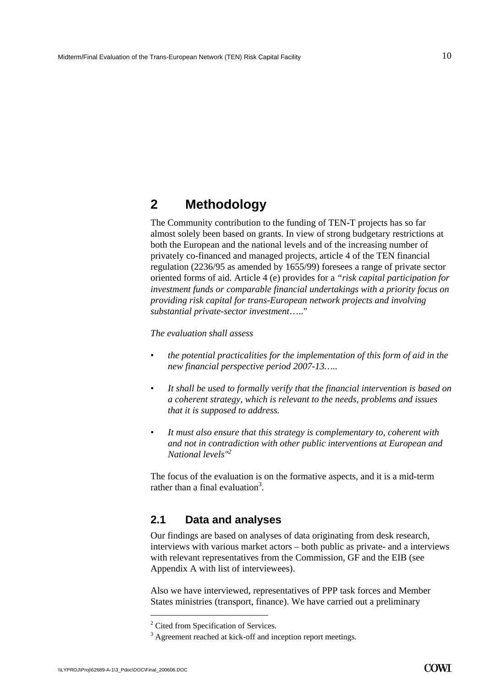# <span id="page-11-0"></span>**2 Methodology**

The Community contribution to the funding of TEN-T projects has so far almost solely been based on grants. In view of strong budgetary restrictions at both the European and the national levels and of the increasing number of privately co-financed and managed projects, article 4 of the TEN financial regulation (2236/95 as amended by 1655/99) foresees a range of private sector oriented forms of aid. Article 4 (e) provides for a *"risk capital participation for investment funds or comparable financial undertakings with a priority focus on providing risk capital for trans-European network projects and involving substantial private-sector investment*….."

*The evaluation shall assess* 

- *the potential practicalities for the implementation of this form of aid in the new financial perspective period 2007-13…..*
- *It shall be used to formally verify that the financial intervention is based on a coherent strategy, which is relevant to the needs, problems and issues that it is supposed to address.*
- *It must also ensure that this strategy is complementary to, coherent with and not in contradiction with other public interventions at European and National levels"2*

The focus of the evaluation is on the formative aspects, and it is a mid-term rather than a final evaluation<sup>3</sup>.

# <span id="page-11-1"></span>**2.1 Data and analyses**

Our findings are based on analyses of data originating from desk research, interviews with various market actors – both public as private- and a interviews with relevant representatives from the Commission, GF and the EIB (see Appendix A with list of interviewees).

Also we have interviewed, representatives of PPP task forces and Member States ministries (transport, finance). We have carried out a preliminary

<sup>&</sup>lt;sup>2</sup> Cited from Specification of Services.

 $3$  Agreement reached at kick-off and inception report meetings.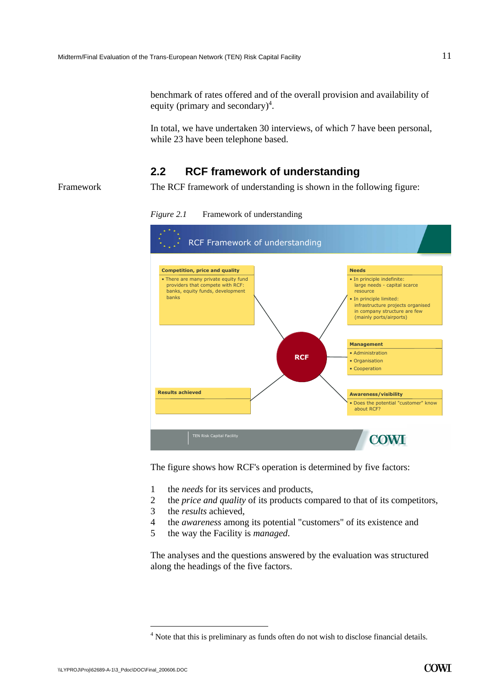In total, we have undertaken 30 interviews, of which 7 have been personal, while 23 have been telephone based.

# **2.2 RCF framework of understanding**

<span id="page-12-0"></span>Framework The RCF framework of understanding is shown in the following figure:

*Figure 2.1* Framework of understanding



The figure shows how RCF's operation is determined by five factors:

- 1 the *needs* for its services and products,
- 2 the *price and quality* of its products compared to that of its competitors,
- 3 the *results* achieved,
- 4 the *awareness* among its potential "customers" of its existence and
- 5 the way the Facility is *managed*.

The analyses and the questions answered by the evaluation was structured along the headings of the five factors.

<sup>&</sup>lt;sup>4</sup> Note that this is preliminary as funds often do not wish to disclose financial details.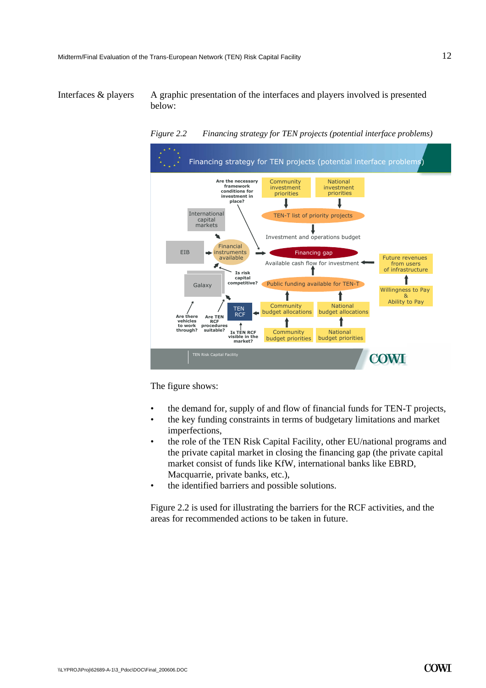<span id="page-13-0"></span>Interfaces  $\&$  players A graphic presentation of the interfaces and players involved is presented below:



*Figure 2.2 Financing strategy for TEN projects (potential interface problems)* 

The figure shows:

- the demand for, supply of and flow of financial funds for TEN-T projects,
- the key funding constraints in terms of budgetary limitations and market imperfections,
- the role of the TEN Risk Capital Facility, other EU/national programs and the private capital market in closing the financing gap (the private capital market consist of funds like KfW, international banks like EBRD, Macquarrie, private banks, etc.),
- the identified barriers and possible solutions.

[Figure 2.2](#page-13-0) is used for illustrating the barriers for the RCF activities, and the areas for recommended actions to be taken in future.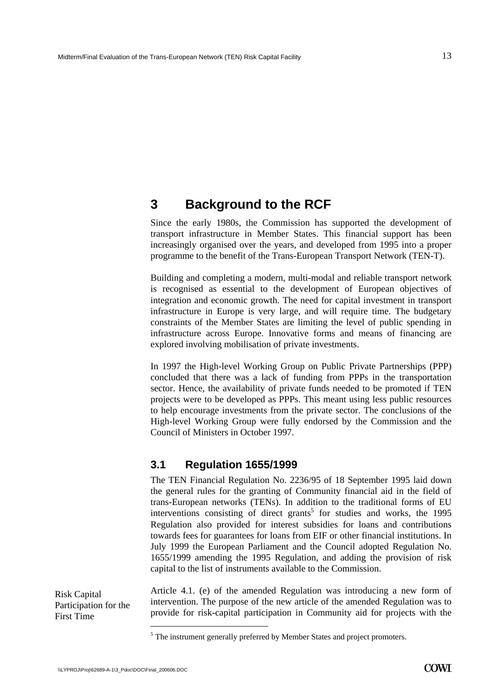# <span id="page-14-0"></span>**3 Background to the RCF**

Since the early 1980s, the Commission has supported the development of transport infrastructure in Member States. This financial support has been increasingly organised over the years, and developed from 1995 into a proper programme to the benefit of the Trans-European Transport Network (TEN-T).

Building and completing a modern, multi-modal and reliable transport network is recognised as essential to the development of European objectives of integration and economic growth. The need for capital investment in transport infrastructure in Europe is very large, and will require time. The budgetary constraints of the Member States are limiting the level of public spending in infrastructure across Europe. Innovative forms and means of financing are explored involving mobilisation of private investments.

In 1997 the High-level Working Group on Public Private Partnerships (PPP) concluded that there was a lack of funding from PPPs in the transportation sector. Hence, the availability of private funds needed to be promoted if TEN projects were to be developed as PPPs. This meant using less public resources to help encourage investments from the private sector. The conclusions of the High-level Working Group were fully endorsed by the Commission and the Council of Ministers in October 1997.

# <span id="page-14-1"></span>**3.1 Regulation 1655/1999**

The TEN Financial Regulation No. 2236/95 of 18 September 1995 laid down the general rules for the granting of Community financial aid in the field of trans-European networks (TENs). In addition to the traditional forms of EU interventions consisting of direct grants<sup>5</sup> for studies and works, the 1995 Regulation also provided for interest subsidies for loans and contributions towards fees for guarantees for loans from EIF or other financial institutions. In July 1999 the European Parliament and the Council adopted Regulation No. 1655/1999 amending the 1995 Regulation, and adding the provision of risk capital to the list of instruments available to the Commission.

Risk Capital Participation for the First Time

Article 4.1. (e) of the amended Regulation was introducing a new form of intervention. The purpose of the new article of the amended Regulation was to provide for risk-capital participation in Community aid for projects with the

 $<sup>5</sup>$  The instrument generally preferred by Member States and project promoters.</sup>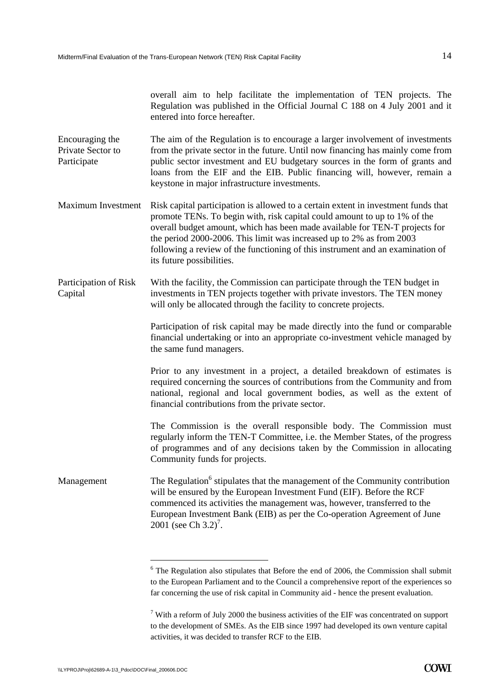overall aim to help facilitate the implementation of TEN projects. The Regulation was published in the Official Journal C 188 on 4 July 2001 and it entered into force hereafter.

The aim of the Regulation is to encourage a larger involvement of investments from the private sector in the future. Until now financing has mainly come from public sector investment and EU budgetary sources in the form of grants and loans from the EIF and the EIB. Public financing will, however, remain a keystone in major infrastructure investments. Encouraging the Private Sector to Participate

Maximum Investment Risk capital participation is allowed to a certain extent in investment funds that promote TENs. To begin with, risk capital could amount to up to 1% of the overall budget amount, which has been made available for TEN-T projects for the period 2000-2006. This limit was increased up to 2% as from 2003 following a review of the functioning of this instrument and an examination of its future possibilities.

With the facility, the Commission can participate through the TEN budget in investments in TEN projects together with private investors. The TEN money will only be allocated through the facility to concrete projects. Participation of Risk Capital

> Participation of risk capital may be made directly into the fund or comparable financial undertaking or into an appropriate co-investment vehicle managed by the same fund managers.

> Prior to any investment in a project, a detailed breakdown of estimates is required concerning the sources of contributions from the Community and from national, regional and local government bodies, as well as the extent of financial contributions from the private sector.

> The Commission is the overall responsible body. The Commission must regularly inform the TEN-T Committee, i.e. the Member States, of the progress of programmes and of any decisions taken by the Commission in allocating Community funds for projects.

Management The Regulation $<sup>6</sup>$  stipulates that the management of the Community contribution</sup> will be ensured by the European Investment Fund (EIF). Before the RCF commenced its activities the management was, however, transferred to the European Investment Bank (EIB) as per the Co-operation Agreement of June  $2001$  (see Ch 3.2)<sup>7</sup>.

 $6$  The Regulation also stipulates that Before the end of 2006, the Commission shall submit to the European Parliament and to the Council a comprehensive report of the experiences so far concerning the use of risk capital in Community aid - hence the present evaluation.

<sup>&</sup>lt;sup>7</sup> With a reform of July 2000 the business activities of the EIF was concentrated on support to the development of SMEs. As the EIB since 1997 had developed its own venture capital activities, it was decided to transfer RCF to the EIB.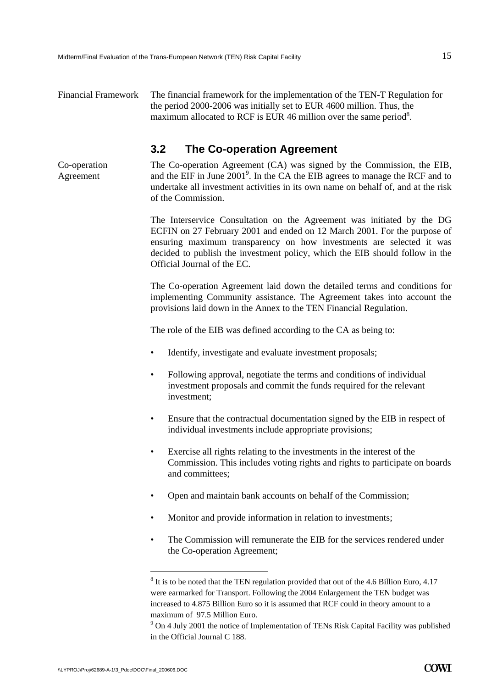<span id="page-16-0"></span>Co-operation Agreement

Financial Framework The financial framework for the implementation of the TEN-T Regulation for the period 2000-2006 was initially set to EUR 4600 million. Thus, the maximum allocated to RCF is EUR 46 million over the same period<sup>8</sup>.

# **3.2 The Co-operation Agreement**

The Co-operation Agreement (CA) was signed by the Commission, the EIB, and the EIF in June  $2001^9$ . In the CA the EIB agrees to manage the RCF and to undertake all investment activities in its own name on behalf of, and at the risk of the Commission.

The Interservice Consultation on the Agreement was initiated by the DG ECFIN on 27 February 2001 and ended on 12 March 2001. For the purpose of ensuring maximum transparency on how investments are selected it was decided to publish the investment policy, which the EIB should follow in the Official Journal of the EC.

The Co-operation Agreement laid down the detailed terms and conditions for implementing Community assistance. The Agreement takes into account the provisions laid down in the Annex to the TEN Financial Regulation.

The role of the EIB was defined according to the CA as being to:

- Identify, investigate and evaluate investment proposals;
- Following approval, negotiate the terms and conditions of individual investment proposals and commit the funds required for the relevant investment;
- Ensure that the contractual documentation signed by the EIB in respect of individual investments include appropriate provisions;
- Exercise all rights relating to the investments in the interest of the Commission. This includes voting rights and rights to participate on boards and committees;
- Open and maintain bank accounts on behalf of the Commission;
- Monitor and provide information in relation to investments;
- The Commission will remunerate the EIB for the services rendered under the Co-operation Agreement;

 $8$  It is to be noted that the TEN regulation provided that out of the 4.6 Billion Euro, 4.17 were earmarked for Transport. Following the 2004 Enlargement the TEN budget was increased to 4.875 Billion Euro so it is assumed that RCF could in theory amount to a maximum of 97.5 Million Euro.

<sup>&</sup>lt;sup>9</sup> On 4 July 2001 the notice of Implementation of TENs Risk Capital Facility was published in the Official Journal C 188.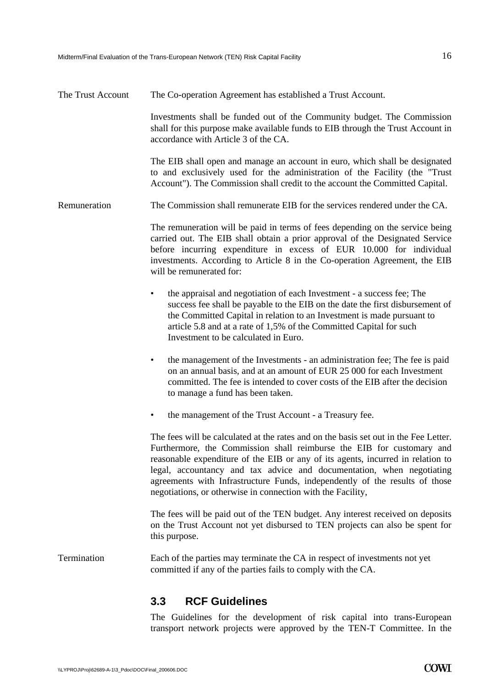The Trust Account.

Remuneration

| The Co-operation Agreement has established a Trust Account.                                                                                                                                                                                                                                                                                     |
|-------------------------------------------------------------------------------------------------------------------------------------------------------------------------------------------------------------------------------------------------------------------------------------------------------------------------------------------------|
| Investments shall be funded out of the Community budget. The Commission<br>shall for this purpose make available funds to EIB through the Trust Account in<br>accordance with Article 3 of the CA.                                                                                                                                              |
| The EIB shall open and manage an account in euro, which shall be designated<br>to and exclusively used for the administration of the Facility (the "Trust<br>Account"). The Commission shall credit to the account the Committed Capital.                                                                                                       |
| The Commission shall remunerate EIB for the services rendered under the CA.                                                                                                                                                                                                                                                                     |
| The remuneration will be paid in terms of fees depending on the service being<br>carried out. The EIB shall obtain a prior approval of the Designated Service<br>before incurring expenditure in excess of EUR 10.000 for individual<br>investments. According to Article 8 in the Co-operation Agreement, the EIB<br>will be remunerated for:  |
| the appraisal and negotiation of each Investment - a success fee; The<br>success fee shall be payable to the EIB on the date the first disbursement of<br>the Committed Capital in relation to an Investment is made pursuant to<br>article 5.8 and at a rate of 1,5% of the Committed Capital for such<br>Investment to be calculated in Euro. |
| the management of the Investments - an administration fee; The fee is paid<br>on an annual basis, and at an amount of EUR 25 000 for each Investment<br>committed. The fee is intended to cover costs of the EIB after the decision<br>to manage a fund has been taken.                                                                         |

• the management of the Trust Account - a Treasury fee.

The fees will be calculated at the rates and on the basis set out in the Fee Letter. Furthermore, the Commission shall reimburse the EIB for customary and reasonable expenditure of the EIB or any of its agents, incurred in relation to legal, accountancy and tax advice and documentation, when negotiating agreements with Infrastructure Funds, independently of the results of those negotiations, or otherwise in connection with the Facility,

The fees will be paid out of the TEN budget. Any interest received on deposits on the Trust Account not yet disbursed to TEN projects can also be spent for this purpose.

<span id="page-17-0"></span>Termination Each of the parties may terminate the CA in respect of investments not yet committed if any of the parties fails to comply with the CA.

## **3.3 RCF Guidelines**

The Guidelines for the development of risk capital into trans-European transport network projects were approved by the TEN-T Committee. In the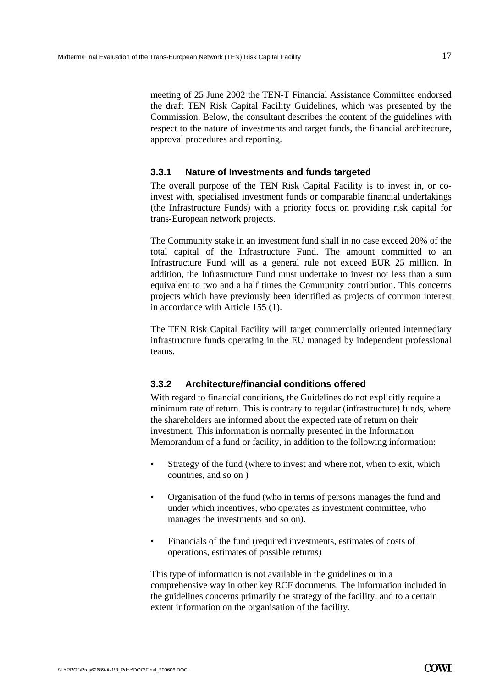meeting of 25 June 2002 the TEN-T Financial Assistance Committee endorsed the draft TEN Risk Capital Facility Guidelines, which was presented by the Commission. Below, the consultant describes the content of the guidelines with respect to the nature of investments and target funds, the financial architecture, approval procedures and reporting.

#### **3.3.1 Nature of Investments and funds targeted**

The overall purpose of the TEN Risk Capital Facility is to invest in, or coinvest with, specialised investment funds or comparable financial undertakings (the Infrastructure Funds) with a priority focus on providing risk capital for trans-European network projects.

The Community stake in an investment fund shall in no case exceed 20% of the total capital of the Infrastructure Fund. The amount committed to an Infrastructure Fund will as a general rule not exceed EUR 25 million. In addition, the Infrastructure Fund must undertake to invest not less than a sum equivalent to two and a half times the Community contribution. This concerns projects which have previously been identified as projects of common interest in accordance with Article 155 (1).

The TEN Risk Capital Facility will target commercially oriented intermediary infrastructure funds operating in the EU managed by independent professional teams.

### **3.3.2 Architecture/financial conditions offered**

With regard to financial conditions, the Guidelines do not explicitly require a minimum rate of return. This is contrary to regular (infrastructure) funds, where the shareholders are informed about the expected rate of return on their investment. This information is normally presented in the Information Memorandum of a fund or facility, in addition to the following information:

- Strategy of the fund (where to invest and where not, when to exit, which countries, and so on )
- Organisation of the fund (who in terms of persons manages the fund and under which incentives, who operates as investment committee, who manages the investments and so on).
- Financials of the fund (required investments, estimates of costs of operations, estimates of possible returns)

This type of information is not available in the guidelines or in a comprehensive way in other key RCF documents. The information included in the guidelines concerns primarily the strategy of the facility, and to a certain extent information on the organisation of the facility.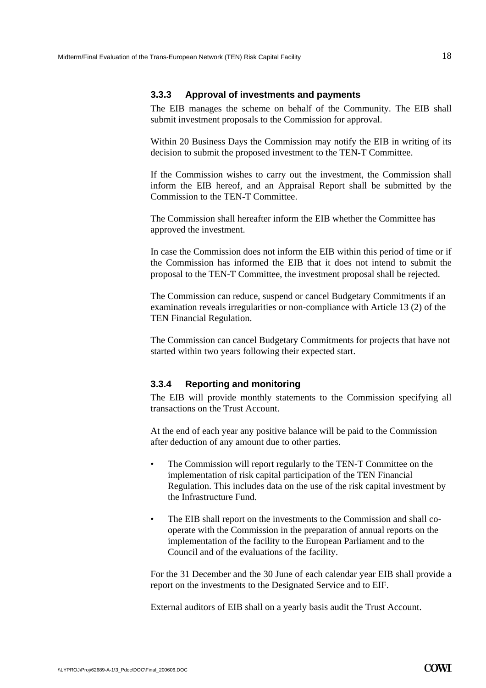#### **3.3.3 Approval of investments and payments**

The EIB manages the scheme on behalf of the Community. The EIB shall submit investment proposals to the Commission for approval.

Within 20 Business Days the Commission may notify the EIB in writing of its decision to submit the proposed investment to the TEN-T Committee.

If the Commission wishes to carry out the investment, the Commission shall inform the EIB hereof, and an Appraisal Report shall be submitted by the Commission to the TEN-T Committee.

The Commission shall hereafter inform the EIB whether the Committee has approved the investment.

In case the Commission does not inform the EIB within this period of time or if the Commission has informed the EIB that it does not intend to submit the proposal to the TEN-T Committee, the investment proposal shall be rejected.

The Commission can reduce, suspend or cancel Budgetary Commitments if an examination reveals irregularities or non-compliance with Article 13 (2) of the TEN Financial Regulation.

The Commission can cancel Budgetary Commitments for projects that have not started within two years following their expected start.

#### **3.3.4 Reporting and monitoring**

The EIB will provide monthly statements to the Commission specifying all transactions on the Trust Account.

At the end of each year any positive balance will be paid to the Commission after deduction of any amount due to other parties.

- The Commission will report regularly to the TEN-T Committee on the implementation of risk capital participation of the TEN Financial Regulation. This includes data on the use of the risk capital investment by the Infrastructure Fund.
- The EIB shall report on the investments to the Commission and shall cooperate with the Commission in the preparation of annual reports on the implementation of the facility to the European Parliament and to the Council and of the evaluations of the facility.

For the 31 December and the 30 June of each calendar year EIB shall provide a report on the investments to the Designated Service and to EIF.

External auditors of EIB shall on a yearly basis audit the Trust Account.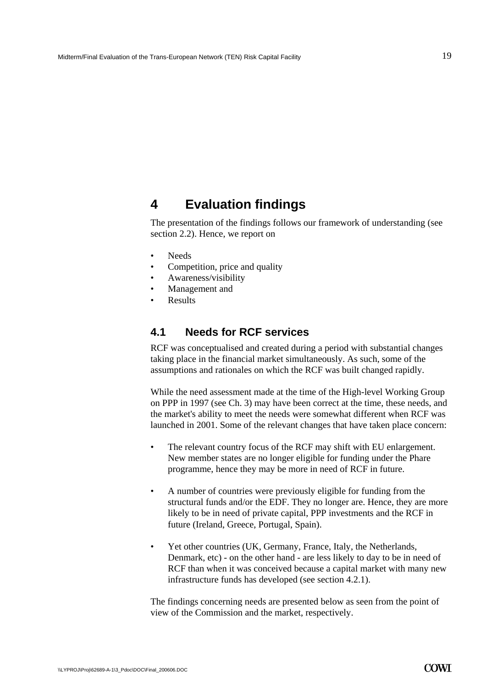# <span id="page-20-0"></span>**4 Evaluation findings**

The presentation of the findings follows our framework of understanding (see section 2.2). Hence, we report on

- Needs
- Competition, price and quality
- Awareness/visibility
- Management and
- **Results**

### <span id="page-20-1"></span>**4.1 Needs for RCF services**

RCF was conceptualised and created during a period with substantial changes taking place in the financial market simultaneously. As such, some of the assumptions and rationales on which the RCF was built changed rapidly.

While the need assessment made at the time of the High-level Working Group on PPP in 1997 (see Ch. 3) may have been correct at the time, these needs, and the market's ability to meet the needs were somewhat different when RCF was launched in 2001. Some of the relevant changes that have taken place concern:

- The relevant country focus of the RCF may shift with EU enlargement. New member states are no longer eligible for funding under the Phare programme, hence they may be more in need of RCF in future.
- A number of countries were previously eligible for funding from the structural funds and/or the EDF. They no longer are. Hence, they are more likely to be in need of private capital, PPP investments and the RCF in future (Ireland, Greece, Portugal, Spain).
- Yet other countries (UK, Germany, France, Italy, the Netherlands, Denmark, etc) - on the other hand - are less likely to day to be in need of RCF than when it was conceived because a capital market with many new infrastructure funds has developed (see section 4.2.1).

The findings concerning needs are presented below as seen from the point of view of the Commission and the market, respectively.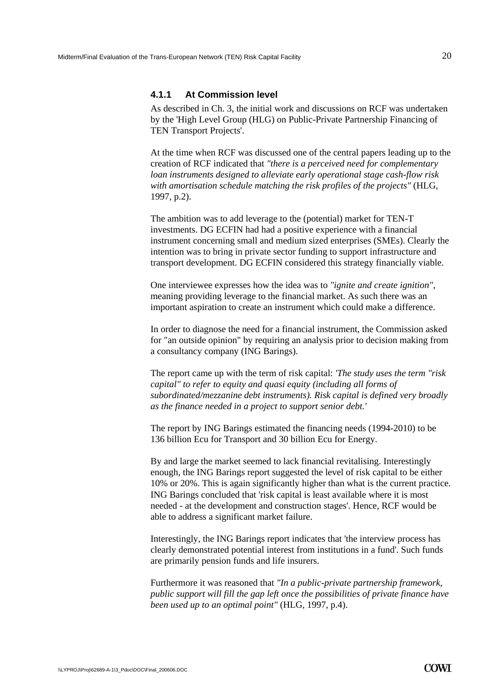#### **4.1.1 At Commission level**

As described in Ch. 3, the initial work and discussions on RCF was undertaken by the 'High Level Group (HLG) on Public-Private Partnership Financing of TEN Transport Projects'.

At the time when RCF was discussed one of the central papers leading up to the creation of RCF indicated that *"there is a perceived need for complementary loan instruments designed to alleviate early operational stage cash-flow risk with amortisation schedule matching the risk profiles of the projects"* (HLG, 1997, p.2).

The ambition was to add leverage to the (potential) market for TEN-T investments. DG ECFIN had had a positive experience with a financial instrument concerning small and medium sized enterprises (SMEs). Clearly the intention was to bring in private sector funding to support infrastructure and transport development. DG ECFIN considered this strategy financially viable.

One interviewee expresses how the idea was to *"ignite and create ignition"*, meaning providing leverage to the financial market. As such there was an important aspiration to create an instrument which could make a difference.

In order to diagnose the need for a financial instrument, the Commission asked for "an outside opinion" by requiring an analysis prior to decision making from a consultancy company (ING Barings).

The report came up with the term of risk capital: *'The study uses the term "risk capital" to refer to equity and quasi equity (including all forms of subordinated/mezzanine debt instruments). Risk capital is defined very broadly as the finance needed in a project to support senior debt.'*

The report by ING Barings estimated the financing needs (1994-2010) to be 136 billion Ecu for Transport and 30 billion Ecu for Energy.

By and large the market seemed to lack financial revitalising. Interestingly enough, the ING Barings report suggested the level of risk capital to be either 10% or 20%. This is again significantly higher than what is the current practice. ING Barings concluded that 'risk capital is least available where it is most needed - at the development and construction stages'. Hence, RCF would be able to address a significant market failure.

Interestingly, the ING Barings report indicates that 'the interview process has clearly demonstrated potential interest from institutions in a fund'. Such funds are primarily pension funds and life insurers.

Furthermore it was reasoned that *"In a public-private partnership framework, public support will fill the gap left once the possibilities of private finance have been used up to an optimal point"* (HLG, 1997, p.4).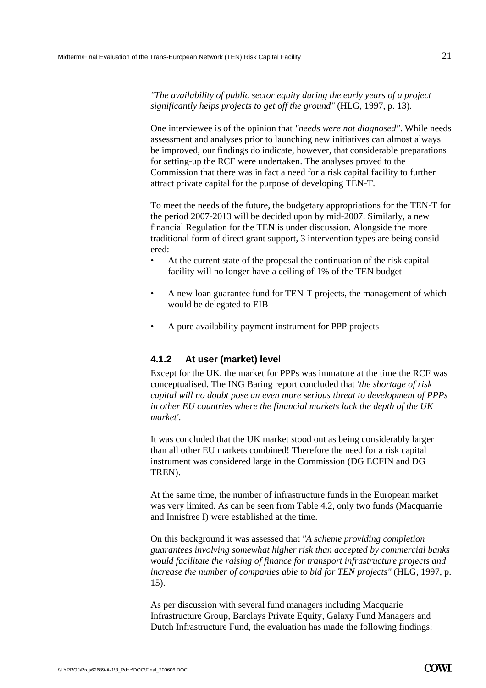*"The availability of public sector equity during the early years of a project significantly helps projects to get off the ground"* (HLG, 1997, p. 13).

One interviewee is of the opinion that *"needs were not diagnosed"*. While needs assessment and analyses prior to launching new initiatives can almost always be improved, our findings do indicate, however, that considerable preparations for setting-up the RCF were undertaken. The analyses proved to the Commission that there was in fact a need for a risk capital facility to further attract private capital for the purpose of developing TEN-T.

To meet the needs of the future, the budgetary appropriations for the TEN-T for the period 2007-2013 will be decided upon by mid-2007. Similarly, a new financial Regulation for the TEN is under discussion. Alongside the more traditional form of direct grant support, 3 intervention types are being considered:

- At the current state of the proposal the continuation of the risk capital facility will no longer have a ceiling of 1% of the TEN budget
- A new loan guarantee fund for TEN-T projects, the management of which would be delegated to EIB
- A pure availability payment instrument for PPP projects

### **4.1.2 At user (market) level**

Except for the UK, the market for PPPs was immature at the time the RCF was conceptualised. The ING Baring report concluded that *'the shortage of risk capital will no doubt pose an even more serious threat to development of PPPs in other EU countries where the financial markets lack the depth of the UK market'*.

It was concluded that the UK market stood out as being considerably larger than all other EU markets combined! Therefore the need for a risk capital instrument was considered large in the Commission (DG ECFIN and DG TREN).

At the same time, the number of infrastructure funds in the European market was very limited. As can be seen from Table 4.2, only two funds (Macquarrie and Innisfree I) were established at the time.

On this background it was assessed that *"A scheme providing completion guarantees involving somewhat higher risk than accepted by commercial banks would facilitate the raising of finance for transport infrastructure projects and increase the number of companies able to bid for TEN projects"* (HLG, 1997, p. 15).

As per discussion with several fund managers including Macquarie Infrastructure Group, Barclays Private Equity, Galaxy Fund Managers and Dutch Infrastructure Fund, the evaluation has made the following findings: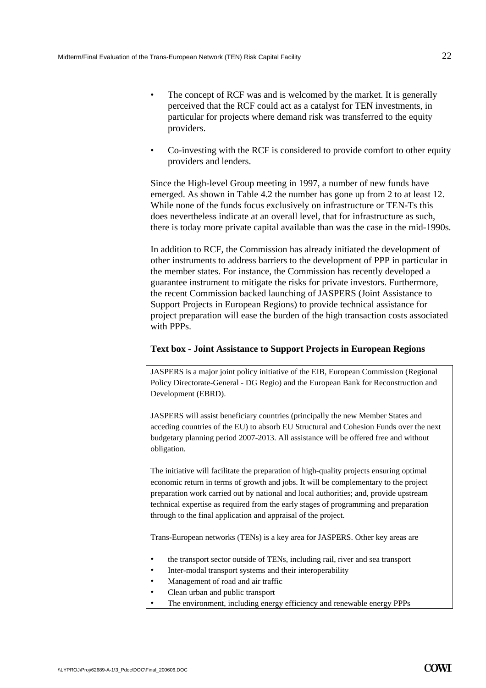- The concept of RCF was and is welcomed by the market. It is generally perceived that the RCF could act as a catalyst for TEN investments, in particular for projects where demand risk was transferred to the equity providers.
- Co-investing with the RCF is considered to provide comfort to other equity providers and lenders.

Since the High-level Group meeting in 1997, a number of new funds have emerged. As shown in Table 4.2 the number has gone up from 2 to at least 12. While none of the funds focus exclusively on infrastructure or TEN-Ts this does nevertheless indicate at an overall level, that for infrastructure as such, there is today more private capital available than was the case in the mid-1990s.

In addition to RCF, the Commission has already initiated the development of other instruments to address barriers to the development of PPP in particular in the member states. For instance, the Commission has recently developed a guarantee instrument to mitigate the risks for private investors. Furthermore, the recent Commission backed launching of JASPERS (Joint Assistance to Support Projects in European Regions) to provide technical assistance for project preparation will ease the burden of the high transaction costs associated with PPPs.

#### **Text box - Joint Assistance to Support Projects in European Regions**

JASPERS is a major joint policy initiative of the EIB, European Commission (Regional Policy Directorate-General - DG Regio) and the European Bank for Reconstruction and Development (EBRD).

JASPERS will assist beneficiary countries (principally the new Member States and acceding countries of the EU) to absorb EU Structural and Cohesion Funds over the next budgetary planning period 2007-2013. All assistance will be offered free and without obligation.

The initiative will facilitate the preparation of high-quality projects ensuring optimal economic return in terms of growth and jobs. It will be complementary to the project preparation work carried out by national and local authorities; and, provide upstream technical expertise as required from the early stages of programming and preparation through to the final application and appraisal of the project.

Trans-European networks (TENs) is a key area for JASPERS. Other key areas are

- the transport sector outside of TENs, including rail, river and sea transport
- Inter-modal transport systems and their interoperability
- Management of road and air traffic
- Clean urban and public transport
- The environment, including energy efficiency and renewable energy PPPs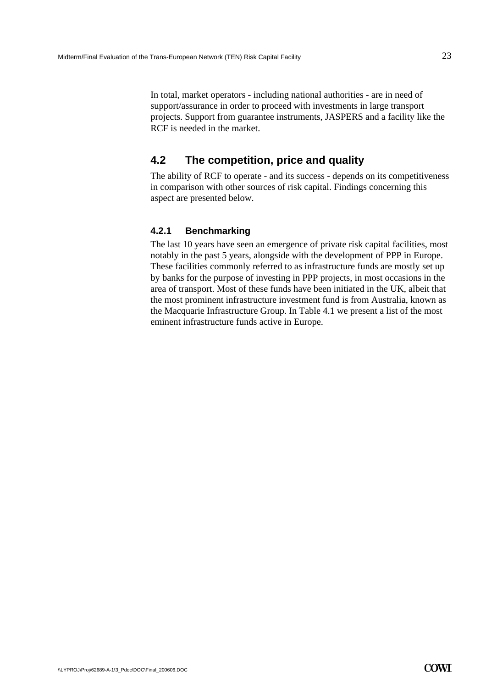In total, market operators - including national authorities - are in need of support/assurance in order to proceed with investments in large transport projects. Support from guarantee instruments, JASPERS and a facility like the RCF is needed in the market.

# **4.2 The competition, price and quality**

<span id="page-24-0"></span>The ability of RCF to operate - and its success - depends on its competitiveness in comparison with other sources of risk capital. Findings concerning this aspect are presented below.

### **4.2.1 Benchmarking**

The last 10 years have seen an emergence of private risk capital facilities, most notably in the past 5 years, alongside with the development of PPP in Europe. These facilities commonly referred to as infrastructure funds are mostly set up by banks for the purpose of investing in PPP projects, in most occasions in the area of transport. Most of these funds have been initiated in the UK, albeit that the most prominent infrastructure investment fund is from Australia, known as the Macquarie Infrastructure Group. In Table 4.1 we present a list of the most eminent infrastructure funds active in Europe.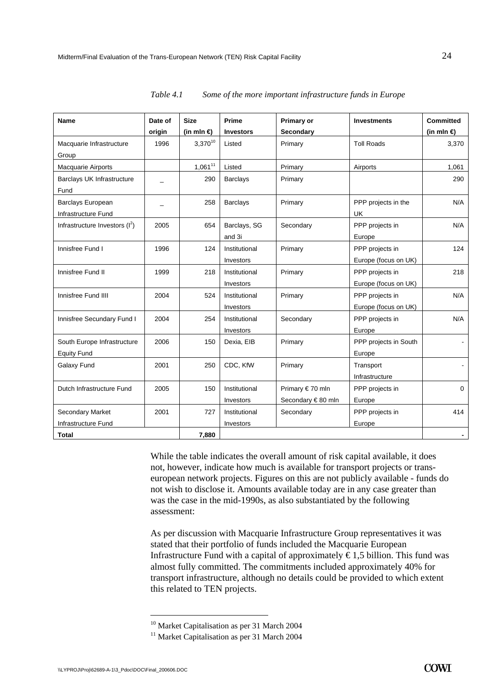| <b>Name</b>                      | Date of | <b>Size</b>         | Prime           | <b>Primary or</b> | <b>Investments</b>    | <b>Committed</b>    |
|----------------------------------|---------|---------------------|-----------------|-------------------|-----------------------|---------------------|
|                                  | origin  | (in mln $\bigoplus$ | Investors       | Secondary         |                       | (in mln $\bigoplus$ |
| Macquarie Infrastructure         | 1996    | $3,370^{10}$        | Listed          | Primary           | <b>Toll Roads</b>     | 3,370               |
| Group                            |         |                     |                 |                   |                       |                     |
| <b>Macquarie Airports</b>        |         | $1,061^{11}$        | Listed          | Primary           | Airports              | 1,061               |
| Barclays UK Infrastructure       |         | 290                 | <b>Barclays</b> | Primary           |                       | 290                 |
| Fund                             |         |                     |                 |                   |                       |                     |
| Barclays European                |         | 258                 | <b>Barclays</b> | Primary           | PPP projects in the   | N/A                 |
| Infrastructure Fund              |         |                     |                 |                   | <b>UK</b>             |                     |
| Infrastructure Investors $(I^2)$ | 2005    | 654                 | Barclays, SG    | Secondary         | PPP projects in       | N/A                 |
|                                  |         |                     | and 3i          |                   | Europe                |                     |
| Innisfree Fund I                 | 1996    | 124                 | Institutional   | Primary           | PPP projects in       | 124                 |
|                                  |         |                     | Investors       |                   | Europe (focus on UK)  |                     |
| Innisfree Fund II                | 1999    | 218                 | Institutional   | Primary           | PPP projects in       | 218                 |
|                                  |         |                     | Investors       |                   | Europe (focus on UK)  |                     |
| Innisfree Fund IIII              | 2004    | 524                 | Institutional   | Primary           | PPP projects in       | N/A                 |
|                                  |         |                     | Investors       |                   | Europe (focus on UK)  |                     |
| Innisfree Secundary Fund I       | 2004    | 254                 | Institutional   | Secondary         | PPP projects in       | N/A                 |
|                                  |         |                     | Investors       |                   | Europe                |                     |
| South Europe Infrastructure      | 2006    | 150                 | Dexia, EIB      | Primary           | PPP projects in South |                     |
| <b>Equity Fund</b>               |         |                     |                 |                   | Europe                |                     |
| Galaxy Fund                      | 2001    | 250                 | CDC, KfW        | Primary           | Transport             |                     |
|                                  |         |                     |                 |                   | Infrastructure        |                     |
| Dutch Infrastructure Fund        | 2005    | 150                 | Institutional   | Primary €70 mln   | PPP projects in       | $\Omega$            |
|                                  |         |                     | Investors       | Secondary €80 mln | Europe                |                     |
| <b>Secondary Market</b>          | 2001    | 727                 | Institutional   | Secondary         | PPP projects in       | 414                 |
| Infrastructure Fund              |         |                     | Investors       |                   | Europe                |                     |
| Total                            |         | 7,880               |                 |                   |                       |                     |

*Table 4.1 Some of the more important infrastructure funds in Europe* 

While the table indicates the overall amount of risk capital available, it does not, however, indicate how much is available for transport projects or transeuropean network projects. Figures on this are not publicly available - funds do not wish to disclose it. Amounts available today are in any case greater than was the case in the mid-1990s, as also substantiated by the following assessment:

As per discussion with Macquarie Infrastructure Group representatives it was stated that their portfolio of funds included the Macquarie European Infrastructure Fund with a capital of approximately  $\epsilon$ 1,5 billion. This fund was almost fully committed. The commitments included approximately 40% for transport infrastructure, although no details could be provided to which extent this related to TEN projects.

<sup>&</sup>lt;sup>10</sup> Market Capitalisation as per 31 March 2004

<sup>&</sup>lt;sup>11</sup> Market Capitalisation as per 31 March 2004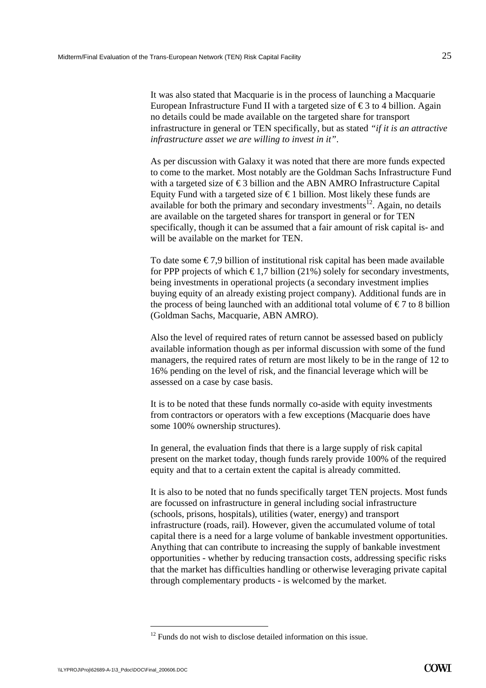It was also stated that Macquarie is in the process of launching a Macquarie European Infrastructure Fund II with a targeted size of  $\epsilon$ 3 to 4 billion. Again no details could be made available on the targeted share for transport infrastructure in general or TEN specifically, but as stated *"if it is an attractive infrastructure asset we are willing to invest in it"*.

As per discussion with Galaxy it was noted that there are more funds expected to come to the market. Most notably are the Goldman Sachs Infrastructure Fund with a targeted size of  $\epsilon$ 3 billion and the ABN AMRO Infrastructure Capital Equity Fund with a targeted size of  $\epsilon$  1 billion. Most likely these funds are available for both the primary and secondary investments<sup>12</sup>. Again, no details are available on the targeted shares for transport in general or for TEN specifically, though it can be assumed that a fair amount of risk capital is- and will be available on the market for TEN.

To date some  $\epsilon$ 7,9 billion of institutional risk capital has been made available for PPP projects of which  $\epsilon$ 1,7 billion (21%) solely for secondary investments, being investments in operational projects (a secondary investment implies buying equity of an already existing project company). Additional funds are in the process of being launched with an additional total volume of  $\epsilon$ 7 to 8 billion (Goldman Sachs, Macquarie, ABN AMRO).

Also the level of required rates of return cannot be assessed based on publicly available information though as per informal discussion with some of the fund managers, the required rates of return are most likely to be in the range of 12 to 16% pending on the level of risk, and the financial leverage which will be assessed on a case by case basis.

It is to be noted that these funds normally co-aside with equity investments from contractors or operators with a few exceptions (Macquarie does have some 100% ownership structures).

In general, the evaluation finds that there is a large supply of risk capital present on the market today, though funds rarely provide 100% of the required equity and that to a certain extent the capital is already committed.

It is also to be noted that no funds specifically target TEN projects. Most funds are focussed on infrastructure in general including social infrastructure (schools, prisons, hospitals), utilities (water, energy) and transport infrastructure (roads, rail). However, given the accumulated volume of total capital there is a need for a large volume of bankable investment opportunities. Anything that can contribute to increasing the supply of bankable investment opportunities - whether by reducing transaction costs, addressing specific risks that the market has difficulties handling or otherwise leveraging private capital through complementary products - is welcomed by the market.

 $12$  Funds do not wish to disclose detailed information on this issue.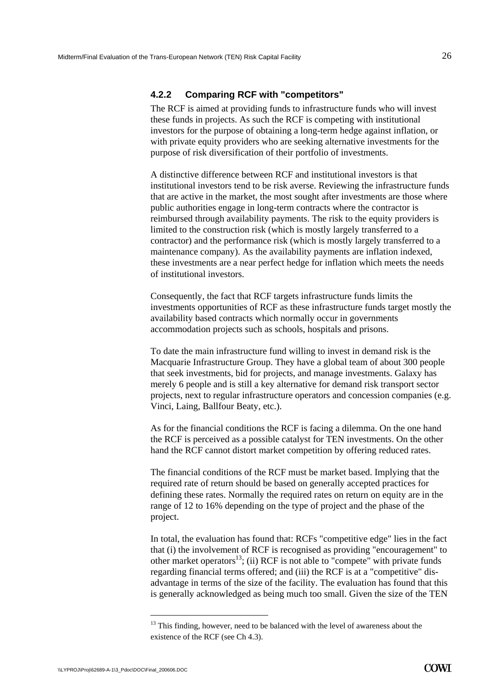### **4.2.2 Comparing RCF with "competitors"**

The RCF is aimed at providing funds to infrastructure funds who will invest these funds in projects. As such the RCF is competing with institutional investors for the purpose of obtaining a long-term hedge against inflation, or with private equity providers who are seeking alternative investments for the purpose of risk diversification of their portfolio of investments.

A distinctive difference between RCF and institutional investors is that institutional investors tend to be risk averse. Reviewing the infrastructure funds that are active in the market, the most sought after investments are those where public authorities engage in long-term contracts where the contractor is reimbursed through availability payments. The risk to the equity providers is limited to the construction risk (which is mostly largely transferred to a contractor) and the performance risk (which is mostly largely transferred to a maintenance company). As the availability payments are inflation indexed, these investments are a near perfect hedge for inflation which meets the needs of institutional investors.

Consequently, the fact that RCF targets infrastructure funds limits the investments opportunities of RCF as these infrastructure funds target mostly the availability based contracts which normally occur in governments accommodation projects such as schools, hospitals and prisons.

To date the main infrastructure fund willing to invest in demand risk is the Macquarie Infrastructure Group. They have a global team of about 300 people that seek investments, bid for projects, and manage investments. Galaxy has merely 6 people and is still a key alternative for demand risk transport sector projects, next to regular infrastructure operators and concession companies (e.g. Vinci, Laing, Ballfour Beaty, etc.).

As for the financial conditions the RCF is facing a dilemma. On the one hand the RCF is perceived as a possible catalyst for TEN investments. On the other hand the RCF cannot distort market competition by offering reduced rates.

The financial conditions of the RCF must be market based. Implying that the required rate of return should be based on generally accepted practices for defining these rates. Normally the required rates on return on equity are in the range of 12 to 16% depending on the type of project and the phase of the project.

In total, the evaluation has found that: RCFs "competitive edge" lies in the fact that (i) the involvement of RCF is recognised as providing "encouragement" to other market operators<sup>13</sup>; (ii) RCF is not able to "compete" with private funds regarding financial terms offered; and (iii) the RCF is at a "competitive" disadvantage in terms of the size of the facility. The evaluation has found that this is generally acknowledged as being much too small. Given the size of the TEN

<sup>&</sup>lt;sup>13</sup> This finding, however, need to be balanced with the level of awareness about the existence of the RCF (see Ch 4.3).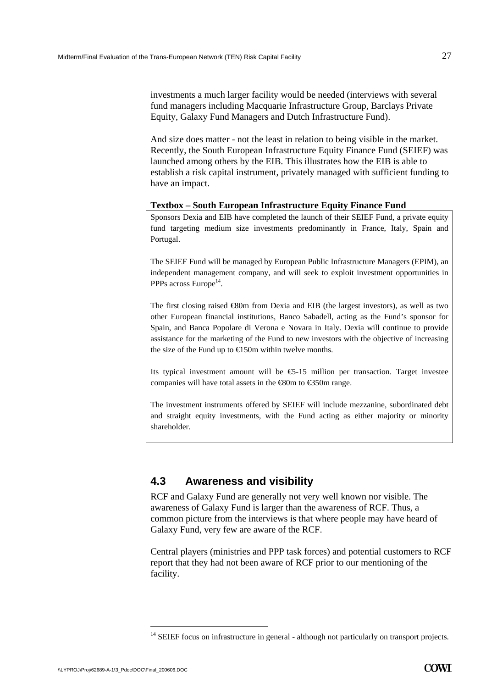investments a much larger facility would be needed (interviews with several fund managers including Macquarie Infrastructure Group, Barclays Private Equity, Galaxy Fund Managers and Dutch Infrastructure Fund).

And size does matter - not the least in relation to being visible in the market. Recently, the South European Infrastructure Equity Finance Fund (SEIEF) was launched among others by the EIB. This illustrates how the EIB is able to establish a risk capital instrument, privately managed with sufficient funding to have an impact.

#### **Textbox – South European Infrastructure Equity Finance Fund**

Sponsors Dexia and EIB have completed the launch of their SEIEF Fund, a private equity fund targeting medium size investments predominantly in France, Italy, Spain and Portugal.

The SEIEF Fund will be managed by European Public Infrastructure Managers (EPIM), an independent management company, and will seek to exploit investment opportunities in PPPs across Europe<sup>14</sup>.

The first closing raised  $\otimes$ 0m from Dexia and EIB (the largest investors), as well as two other European financial institutions, Banco Sabadell, acting as the Fund's sponsor for Spain, and Banca Popolare di Verona e Novara in Italy. Dexia will continue to provide assistance for the marketing of the Fund to new investors with the objective of increasing the size of the Fund up to  $\bigoplus$  50m within twelve months.

Its typical investment amount will be  $\epsilon$ -15 million per transaction. Target investee companies will have total assets in the  $\text{\textsterling}80m$  to  $\text{\textsterling}350m$  range.

The investment instruments offered by SEIEF will include mezzanine, subordinated debt and straight equity investments, with the Fund acting as either majority or minority shareholder.

# <span id="page-28-0"></span>**4.3 Awareness and visibility**

RCF and Galaxy Fund are generally not very well known nor visible. The awareness of Galaxy Fund is larger than the awareness of RCF. Thus, a common picture from the interviews is that where people may have heard of Galaxy Fund, very few are aware of the RCF.

Central players (ministries and PPP task forces) and potential customers to RCF report that they had not been aware of RCF prior to our mentioning of the facility.

<sup>&</sup>lt;sup>14</sup> SEIEF focus on infrastructure in general - although not particularly on transport projects.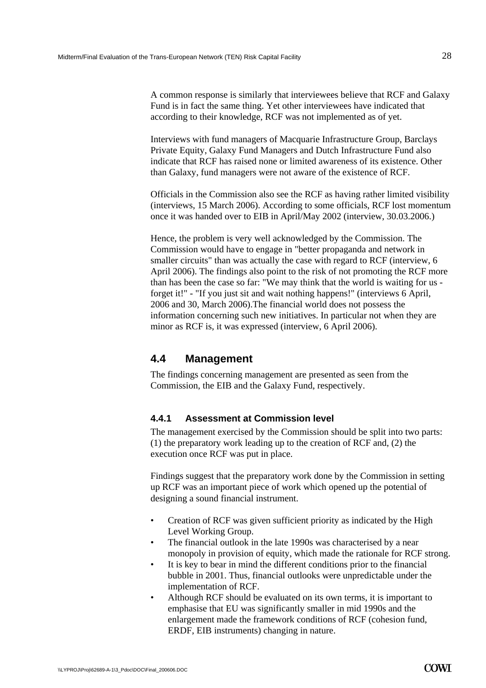A common response is similarly that interviewees believe that RCF and Galaxy Fund is in fact the same thing. Yet other interviewees have indicated that according to their knowledge, RCF was not implemented as of yet.

Interviews with fund managers of Macquarie Infrastructure Group, Barclays Private Equity, Galaxy Fund Managers and Dutch Infrastructure Fund also indicate that RCF has raised none or limited awareness of its existence. Other than Galaxy, fund managers were not aware of the existence of RCF.

Officials in the Commission also see the RCF as having rather limited visibility (interviews, 15 March 2006). According to some officials, RCF lost momentum once it was handed over to EIB in April/May 2002 (interview, 30.03.2006.)

Hence, the problem is very well acknowledged by the Commission. The Commission would have to engage in "better propaganda and network in smaller circuits" than was actually the case with regard to RCF (interview, 6 April 2006). The findings also point to the risk of not promoting the RCF more than has been the case so far: "We may think that the world is waiting for us forget it!" - "If you just sit and wait nothing happens!" (interviews 6 April, 2006 and 30, March 2006).The financial world does not possess the information concerning such new initiatives. In particular not when they are minor as RCF is, it was expressed (interview, 6 April 2006).

## <span id="page-29-0"></span>**4.4 Management**

The findings concerning management are presented as seen from the Commission, the EIB and the Galaxy Fund, respectively.

### **4.4.1 Assessment at Commission level**

The management exercised by the Commission should be split into two parts: (1) the preparatory work leading up to the creation of RCF and, (2) the execution once RCF was put in place.

Findings suggest that the preparatory work done by the Commission in setting up RCF was an important piece of work which opened up the potential of designing a sound financial instrument.

- Creation of RCF was given sufficient priority as indicated by the High Level Working Group.
- The financial outlook in the late 1990s was characterised by a near monopoly in provision of equity, which made the rationale for RCF strong.
- It is key to bear in mind the different conditions prior to the financial bubble in 2001. Thus, financial outlooks were unpredictable under the implementation of RCF.
- Although RCF should be evaluated on its own terms, it is important to emphasise that EU was significantly smaller in mid 1990s and the enlargement made the framework conditions of RCF (cohesion fund, ERDF, EIB instruments) changing in nature.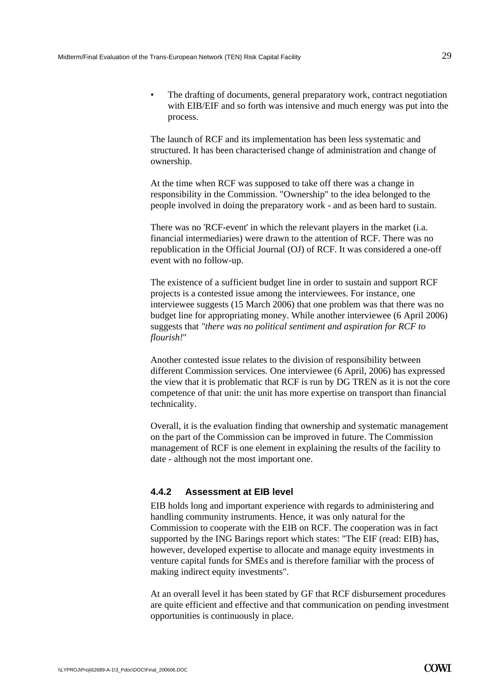• The drafting of documents, general preparatory work, contract negotiation with EIB/EIF and so forth was intensive and much energy was put into the process.

The launch of RCF and its implementation has been less systematic and structured. It has been characterised change of administration and change of ownership.

At the time when RCF was supposed to take off there was a change in responsibility in the Commission. "Ownership" to the idea belonged to the people involved in doing the preparatory work - and as been hard to sustain.

There was no 'RCF-event' in which the relevant players in the market (i.a. financial intermediaries) were drawn to the attention of RCF. There was no republication in the Official Journal (OJ) of RCF. It was considered a one-off event with no follow-up.

The existence of a sufficient budget line in order to sustain and support RCF projects is a contested issue among the interviewees. For instance, one interviewee suggests (15 March 2006) that one problem was that there was no budget line for appropriating money. While another interviewee (6 April 2006) suggests that *"there was no political sentiment and aspiration for RCF to flourish!*"

Another contested issue relates to the division of responsibility between different Commission services. One interviewee (6 April, 2006) has expressed the view that it is problematic that RCF is run by DG TREN as it is not the core competence of that unit: the unit has more expertise on transport than financial technicality.

Overall, it is the evaluation finding that ownership and systematic management on the part of the Commission can be improved in future. The Commission management of RCF is one element in explaining the results of the facility to date - although not the most important one.

### **4.4.2 Assessment at EIB level**

EIB holds long and important experience with regards to administering and handling community instruments. Hence, it was only natural for the Commission to cooperate with the EIB on RCF. The cooperation was in fact supported by the ING Barings report which states: "The EIF (read: EIB) has, however, developed expertise to allocate and manage equity investments in venture capital funds for SMEs and is therefore familiar with the process of making indirect equity investments".

At an overall level it has been stated by GF that RCF disbursement procedures are quite efficient and effective and that communication on pending investment opportunities is continuously in place.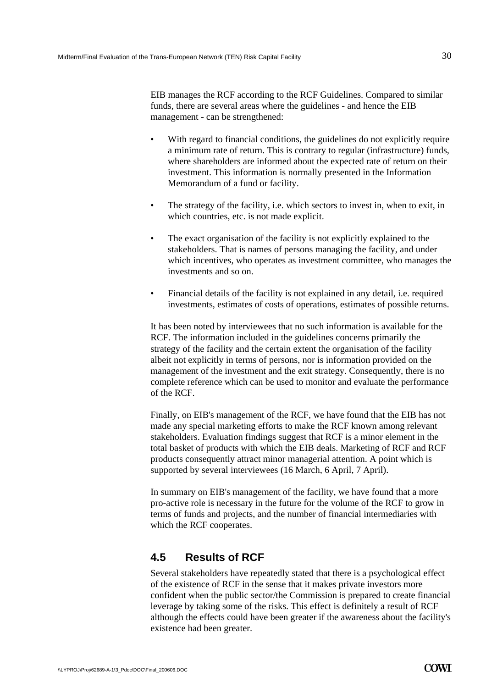EIB manages the RCF according to the RCF Guidelines. Compared to similar funds, there are several areas where the guidelines - and hence the EIB management - can be strengthened:

- With regard to financial conditions, the guidelines do not explicitly require a minimum rate of return. This is contrary to regular (infrastructure) funds, where shareholders are informed about the expected rate of return on their investment. This information is normally presented in the Information Memorandum of a fund or facility.
- The strategy of the facility, i.e. which sectors to invest in, when to exit, in which countries, etc. is not made explicit.
- The exact organisation of the facility is not explicitly explained to the stakeholders. That is names of persons managing the facility, and under which incentives, who operates as investment committee, who manages the investments and so on.
- Financial details of the facility is not explained in any detail, i.e. required investments, estimates of costs of operations, estimates of possible returns.

It has been noted by interviewees that no such information is available for the RCF. The information included in the guidelines concerns primarily the strategy of the facility and the certain extent the organisation of the facility albeit not explicitly in terms of persons, nor is information provided on the management of the investment and the exit strategy. Consequently, there is no complete reference which can be used to monitor and evaluate the performance of the RCF.

Finally, on EIB's management of the RCF, we have found that the EIB has not made any special marketing efforts to make the RCF known among relevant stakeholders. Evaluation findings suggest that RCF is a minor element in the total basket of products with which the EIB deals. Marketing of RCF and RCF products consequently attract minor managerial attention. A point which is supported by several interviewees (16 March, 6 April, 7 April).

In summary on EIB's management of the facility, we have found that a more pro-active role is necessary in the future for the volume of the RCF to grow in terms of funds and projects, and the number of financial intermediaries with which the RCF cooperates.

# <span id="page-31-0"></span>**4.5 Results of RCF**

Several stakeholders have repeatedly stated that there is a psychological effect of the existence of RCF in the sense that it makes private investors more confident when the public sector/the Commission is prepared to create financial leverage by taking some of the risks. This effect is definitely a result of RCF although the effects could have been greater if the awareness about the facility's existence had been greater.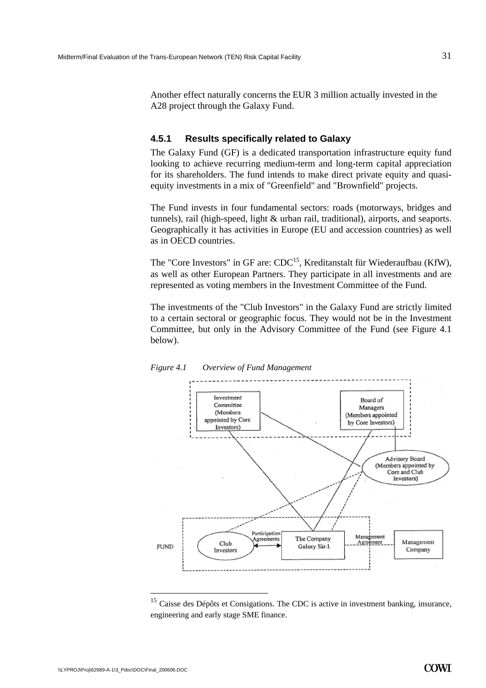Another effect naturally concerns the EUR 3 million actually invested in the A28 project through the Galaxy Fund.

### **4.5.1 Results specifically related to Galaxy**

The Galaxy Fund (GF) is a dedicated transportation infrastructure equity fund looking to achieve recurring medium-term and long-term capital appreciation for its shareholders. The fund intends to make direct private equity and quasiequity investments in a mix of "Greenfield" and "Brownfield" projects.

The Fund invests in four fundamental sectors: roads (motorways, bridges and tunnels), rail (high-speed, light & urban rail, traditional), airports, and seaports. Geographically it has activities in Europe (EU and accession countries) as well as in OECD countries.

The "Core Investors" in GF are:  $CDC^{15}$ , Kreditanstalt für Wiederaufbau (KfW), as well as other European Partners. They participate in all investments and are represented as voting members in the Investment Committee of the Fund.

The investments of the "Club Investors" in the Galaxy Fund are strictly limited to a certain sectoral or geographic focus. They would not be in the Investment Committee, but only in the Advisory Committee of the Fund (see [Figure 4.1](#page-32-0)  below).

<span id="page-32-0"></span>

*Figure 4.1 Overview of Fund Management* 

 $15$  Caisse des Dépôts et Consigations. The CDC is active in investment banking, insurance, engineering and early stage SME finance.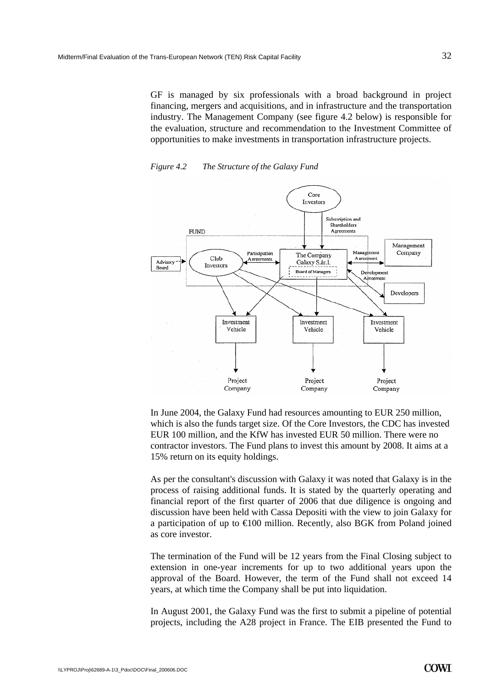GF is managed by six professionals with a broad background in project financing, mergers and acquisitions, and in infrastructure and the transportation industry. The Management Company (see figure 4.2 below) is responsible for the evaluation, structure and recommendation to the Investment Committee of opportunities to make investments in transportation infrastructure projects.

*Figure 4.2 The Structure of the Galaxy Fund* 



In June 2004, the Galaxy Fund had resources amounting to EUR 250 million, which is also the funds target size. Of the Core Investors, the CDC has invested EUR 100 million, and the KfW has invested EUR 50 million. There were no contractor investors. The Fund plans to invest this amount by 2008. It aims at a 15% return on its equity holdings.

As per the consultant's discussion with Galaxy it was noted that Galaxy is in the process of raising additional funds. It is stated by the quarterly operating and financial report of the first quarter of 2006 that due diligence is ongoing and discussion have been held with Cassa Depositi with the view to join Galaxy for a participation of up to  $\in$  00 million. Recently, also BGK from Poland joined as core investor.

The termination of the Fund will be 12 years from the Final Closing subject to extension in one-year increments for up to two additional years upon the approval of the Board. However, the term of the Fund shall not exceed 14 years, at which time the Company shall be put into liquidation.

In August 2001, the Galaxy Fund was the first to submit a pipeline of potential projects, including the A28 project in France. The EIB presented the Fund to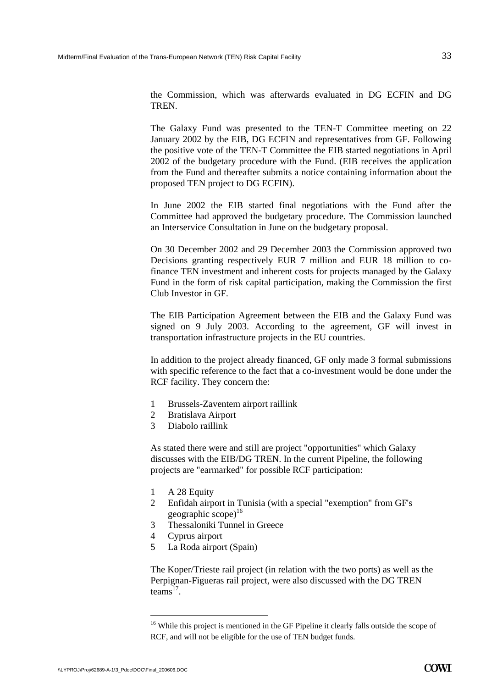the Commission, which was afterwards evaluated in DG ECFIN and DG **TREN** 

The Galaxy Fund was presented to the TEN-T Committee meeting on 22 January 2002 by the EIB, DG ECFIN and representatives from GF. Following the positive vote of the TEN-T Committee the EIB started negotiations in April 2002 of the budgetary procedure with the Fund. (EIB receives the application from the Fund and thereafter submits a notice containing information about the proposed TEN project to DG ECFIN).

In June 2002 the EIB started final negotiations with the Fund after the Committee had approved the budgetary procedure. The Commission launched an Interservice Consultation in June on the budgetary proposal.

On 30 December 2002 and 29 December 2003 the Commission approved two Decisions granting respectively EUR 7 million and EUR 18 million to cofinance TEN investment and inherent costs for projects managed by the Galaxy Fund in the form of risk capital participation, making the Commission the first Club Investor in GF.

The EIB Participation Agreement between the EIB and the Galaxy Fund was signed on 9 July 2003. According to the agreement, GF will invest in transportation infrastructure projects in the EU countries.

In addition to the project already financed, GF only made 3 formal submissions with specific reference to the fact that a co-investment would be done under the RCF facility. They concern the:

- 1 Brussels-Zaventem airport raillink
- 2 Bratislava Airport
- 3 Diabolo raillink

As stated there were and still are project "opportunities" which Galaxy discusses with the EIB/DG TREN. In the current Pipeline, the following projects are "earmarked" for possible RCF participation:

- 1 A 28 Equity
- 2 Enfidah airport in Tunisia (with a special "exemption" from GF's geographic  $\text{scope}$ <sup>16</sup>
- 3 Thessaloniki Tunnel in Greece
- 4 Cyprus airport
- 5 La Roda airport (Spain)

The Koper/Trieste rail project (in relation with the two ports) as well as the Perpignan-Figueras rail project, were also discussed with the DG TREN  $t$ eams<sup>17</sup>.

<sup>&</sup>lt;sup>16</sup> While this project is mentioned in the GF Pipeline it clearly falls outside the scope of RCF, and will not be eligible for the use of TEN budget funds.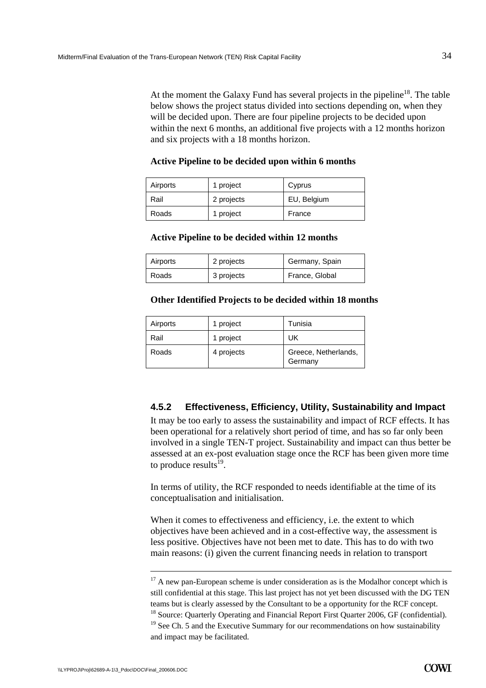At the moment the Galaxy Fund has several projects in the pipeline<sup>18</sup>. The table below shows the project status divided into sections depending on, when they will be decided upon. There are four pipeline projects to be decided upon within the next 6 months, an additional five projects with a 12 months horizon and six projects with a 18 months horizon.

#### **Active Pipeline to be decided upon within 6 months**

| Airports | 1 project  | Cyprus      |
|----------|------------|-------------|
| Rail     | 2 projects | EU, Belgium |
| Roads    | 1 project  | France      |

#### **Active Pipeline to be decided within 12 months**

| Airports | 2 projects | Germany, Spain |
|----------|------------|----------------|
| Roads    | 3 projects | France, Global |

#### **Other Identified Projects to be decided within 18 months**

| Airports | 1 project  | Tunisia                         |
|----------|------------|---------------------------------|
| Rail     | 1 project  | UK                              |
| Roads    | 4 projects | Greece, Netherlands,<br>Germany |

### **4.5.2 Effectiveness, Efficiency, Utility, Sustainability and Impact**

It may be too early to assess the sustainability and impact of RCF effects. It has been operational for a relatively short period of time, and has so far only been involved in a single TEN-T project. Sustainability and impact can thus better be assessed at an ex-post evaluation stage once the RCF has been given more time to produce results $^{19}$ .

In terms of utility, the RCF responded to needs identifiable at the time of its conceptualisation and initialisation.

When it comes to effectiveness and efficiency, i.e. the extent to which objectives have been achieved and in a cost-effective way, the assessment is less positive. Objectives have not been met to date. This has to do with two main reasons: (i) given the current financing needs in relation to transport

 $17$  A new pan-European scheme is under consideration as is the Modalhor concept which is still confidential at this stage. This last project has not yet been discussed with the DG TEN teams but is clearly assessed by the Consultant to be a opportunity for the RCF concept. <sup>18</sup> Source: Ouarterly Operating and Financial Report First Ouarter 2006, GF (confidential).  $19$  See Ch. 5 and the Executive Summary for our recommendations on how sustainability and impact may be facilitated.

-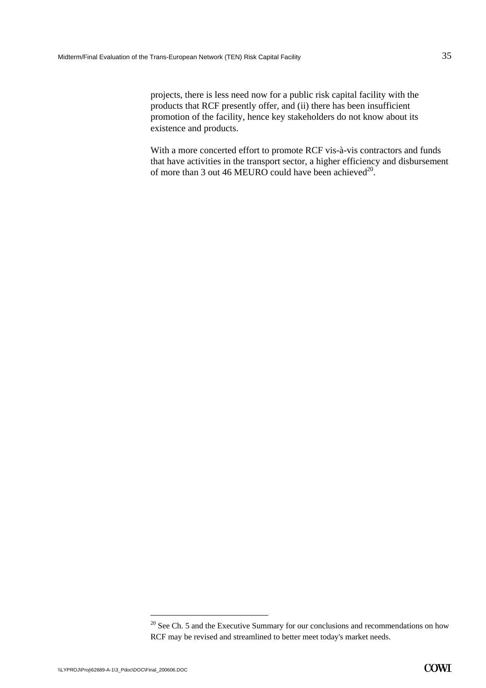projects, there is less need now for a public risk capital facility with the products that RCF presently offer, and (ii) there has been insufficient promotion of the facility, hence key stakeholders do not know about its existence and products.

With a more concerted effort to promote RCF vis-à-vis contractors and funds that have activities in the transport sector, a higher efficiency and disbursement of more than 3 out 46 MEURO could have been achieved<sup>20</sup>.

 $20$  See Ch. 5 and the Executive Summary for our conclusions and recommendations on how RCF may be revised and streamlined to better meet today's market needs.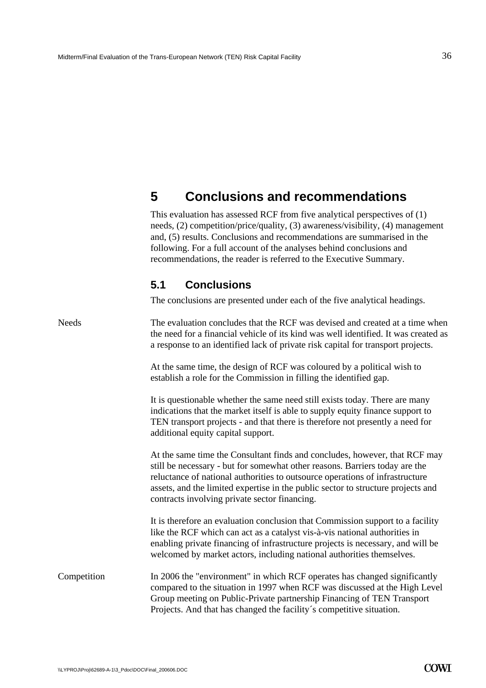# <span id="page-37-0"></span>**5 Conclusions and recommendations**

This evaluation has assessed RCF from five analytical perspectives of (1) needs, (2) competition/price/quality, (3) awareness/visibility, (4) management and, (5) results. Conclusions and recommendations are summarised in the following. For a full account of the analyses behind conclusions and recommendations, the reader is referred to the Executive Summary.

# **5.1 Conclusions**

The conclusions are presented under each of the five analytical headings.

<span id="page-37-1"></span>

| <b>Needs</b> | The evaluation concludes that the RCF was devised and created at a time when<br>the need for a financial vehicle of its kind was well identified. It was created as<br>a response to an identified lack of private risk capital for transport projects.                                                                                                                        |
|--------------|--------------------------------------------------------------------------------------------------------------------------------------------------------------------------------------------------------------------------------------------------------------------------------------------------------------------------------------------------------------------------------|
|              | At the same time, the design of RCF was coloured by a political wish to<br>establish a role for the Commission in filling the identified gap.                                                                                                                                                                                                                                  |
|              | It is questionable whether the same need still exists today. There are many<br>indications that the market itself is able to supply equity finance support to<br>TEN transport projects - and that there is therefore not presently a need for<br>additional equity capital support.                                                                                           |
|              | At the same time the Consultant finds and concludes, however, that RCF may<br>still be necessary - but for somewhat other reasons. Barriers today are the<br>reluctance of national authorities to outsource operations of infrastructure<br>assets, and the limited expertise in the public sector to structure projects and<br>contracts involving private sector financing. |
|              | It is therefore an evaluation conclusion that Commission support to a facility<br>like the RCF which can act as a catalyst vis-à-vis national authorities in<br>enabling private financing of infrastructure projects is necessary, and will be<br>welcomed by market actors, including national authorities themselves.                                                       |
| Competition  | In 2006 the "environment" in which RCF operates has changed significantly<br>compared to the situation in 1997 when RCF was discussed at the High Level<br>Group meeting on Public-Private partnership Financing of TEN Transport<br>Projects. And that has changed the facility's competitive situation.                                                                      |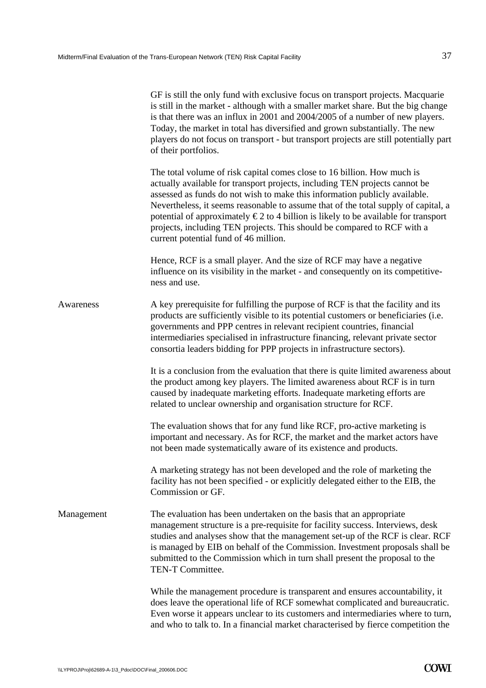|            | GF is still the only fund with exclusive focus on transport projects. Macquarie<br>is still in the market - although with a smaller market share. But the big change<br>is that there was an influx in 2001 and 2004/2005 of a number of new players.<br>Today, the market in total has diversified and grown substantially. The new<br>players do not focus on transport - but transport projects are still potentially part<br>of their portfolios.                                                                                          |
|------------|------------------------------------------------------------------------------------------------------------------------------------------------------------------------------------------------------------------------------------------------------------------------------------------------------------------------------------------------------------------------------------------------------------------------------------------------------------------------------------------------------------------------------------------------|
|            | The total volume of risk capital comes close to 16 billion. How much is<br>actually available for transport projects, including TEN projects cannot be<br>assessed as funds do not wish to make this information publicly available.<br>Nevertheless, it seems reasonable to assume that of the total supply of capital, a<br>potential of approximately $\epsilon$ 2 to 4 billion is likely to be available for transport<br>projects, including TEN projects. This should be compared to RCF with a<br>current potential fund of 46 million. |
|            | Hence, RCF is a small player. And the size of RCF may have a negative<br>influence on its visibility in the market - and consequently on its competitive-<br>ness and use.                                                                                                                                                                                                                                                                                                                                                                     |
| Awareness  | A key prerequisite for fulfilling the purpose of RCF is that the facility and its<br>products are sufficiently visible to its potential customers or beneficiaries (i.e.<br>governments and PPP centres in relevant recipient countries, financial<br>intermediaries specialised in infrastructure financing, relevant private sector<br>consortia leaders bidding for PPP projects in infrastructure sectors).                                                                                                                                |
|            | It is a conclusion from the evaluation that there is quite limited awareness about<br>the product among key players. The limited awareness about RCF is in turn<br>caused by inadequate marketing efforts. Inadequate marketing efforts are<br>related to unclear ownership and organisation structure for RCF.                                                                                                                                                                                                                                |
|            | The evaluation shows that for any fund like RCF, pro-active marketing is<br>important and necessary. As for RCF, the market and the market actors have<br>not been made systematically aware of its existence and products.                                                                                                                                                                                                                                                                                                                    |
|            | A marketing strategy has not been developed and the role of marketing the<br>facility has not been specified - or explicitly delegated either to the EIB, the<br>Commission or GF.                                                                                                                                                                                                                                                                                                                                                             |
| Management | The evaluation has been undertaken on the basis that an appropriate<br>management structure is a pre-requisite for facility success. Interviews, desk<br>studies and analyses show that the management set-up of the RCF is clear. RCF<br>is managed by EIB on behalf of the Commission. Investment proposals shall be<br>submitted to the Commission which in turn shall present the proposal to the<br>TEN-T Committee.                                                                                                                      |
|            | While the management procedure is transparent and ensures accountability, it<br>does leave the operational life of RCF somewhat complicated and bureaucratic.<br>Even worse it appears unclear to its customers and intermediaries where to turn,<br>and who to talk to. In a financial market characterised by fierce competition the                                                                                                                                                                                                         |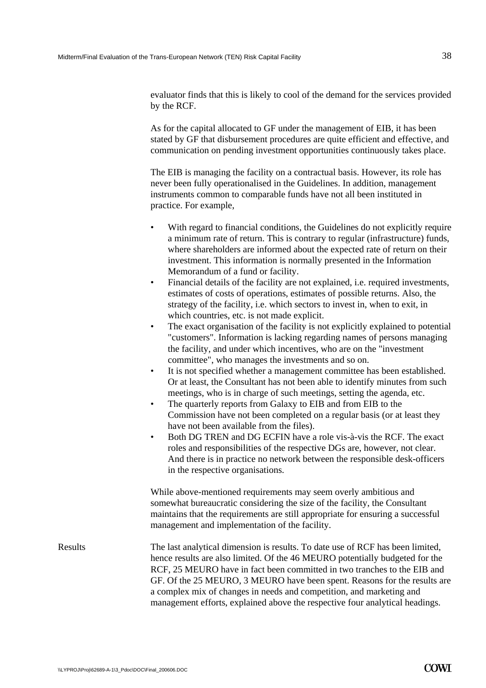evaluator finds that this is likely to cool of the demand for the services provided by the RCF.

As for the capital allocated to GF under the management of EIB, it has been stated by GF that disbursement procedures are quite efficient and effective, and communication on pending investment opportunities continuously takes place.

The EIB is managing the facility on a contractual basis. However, its role has never been fully operationalised in the Guidelines. In addition, management instruments common to comparable funds have not all been instituted in practice. For example,

- With regard to financial conditions, the Guidelines do not explicitly require a minimum rate of return. This is contrary to regular (infrastructure) funds, where shareholders are informed about the expected rate of return on their investment. This information is normally presented in the Information Memorandum of a fund or facility.
- Financial details of the facility are not explained, i.e. required investments, estimates of costs of operations, estimates of possible returns. Also, the strategy of the facility, i.e. which sectors to invest in, when to exit, in which countries, etc. is not made explicit.
- The exact organisation of the facility is not explicitly explained to potential "customers". Information is lacking regarding names of persons managing the facility, and under which incentives, who are on the "investment committee", who manages the investments and so on.
- It is not specified whether a management committee has been established. Or at least, the Consultant has not been able to identify minutes from such meetings, who is in charge of such meetings, setting the agenda, etc.
- The quarterly reports from Galaxy to EIB and from EIB to the Commission have not been completed on a regular basis (or at least they have not been available from the files).
- Both DG TREN and DG ECFIN have a role vis-à-vis the RCF. The exact roles and responsibilities of the respective DGs are, however, not clear. And there is in practice no network between the responsible desk-officers in the respective organisations.

While above-mentioned requirements may seem overly ambitious and somewhat bureaucratic considering the size of the facility, the Consultant maintains that the requirements are still appropriate for ensuring a successful management and implementation of the facility.

Results The last analytical dimension is results. To date use of RCF has been limited, hence results are also limited. Of the 46 MEURO potentially budgeted for the RCF, 25 MEURO have in fact been committed in two tranches to the EIB and GF. Of the 25 MEURO, 3 MEURO have been spent. Reasons for the results are a complex mix of changes in needs and competition, and marketing and management efforts, explained above the respective four analytical headings.